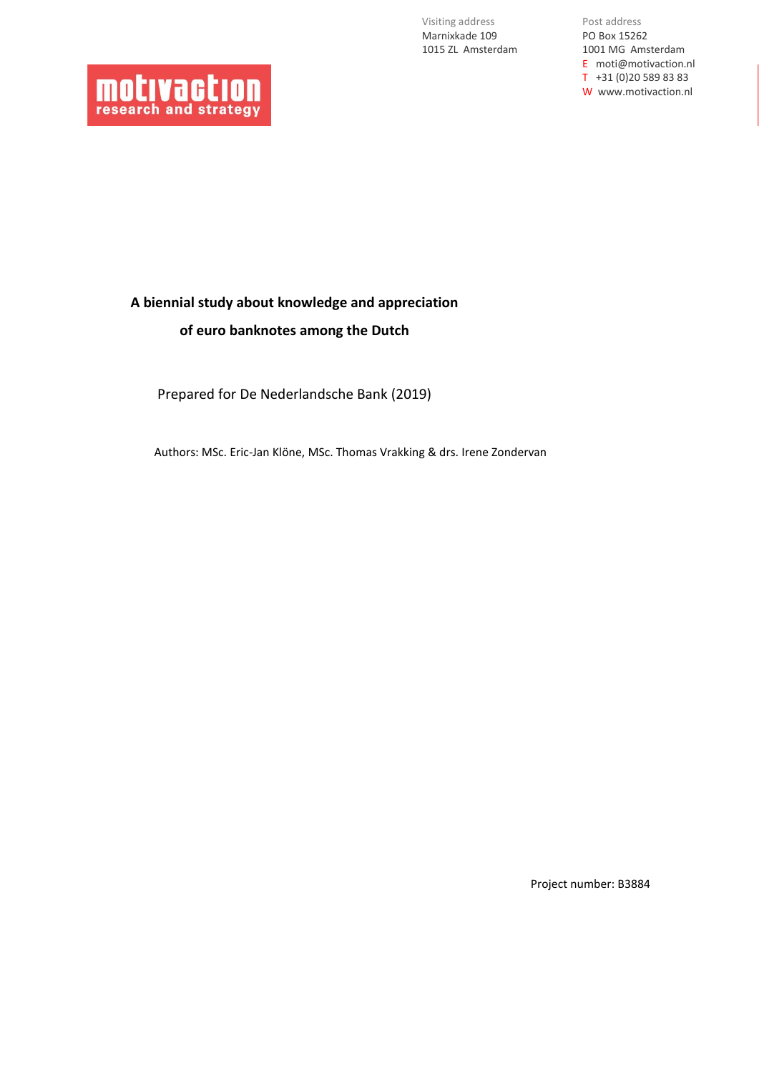Visiting address Marnixkade 109 1015 ZL Amsterdam

Post address PO Box 15262 1001 MG Amsterdam E moti@motivaction.nl T +31 (0)20 589 83 83 W www.motivaction.nl



# **A biennial study about knowledge and appreciation of euro banknotes among the Dutch**

Prepared for De Nederlandsche Bank (2019)

Authors: MSc. Eric-Jan Klöne, MSc. Thomas Vrakking & drs. Irene Zondervan

Project number: B3884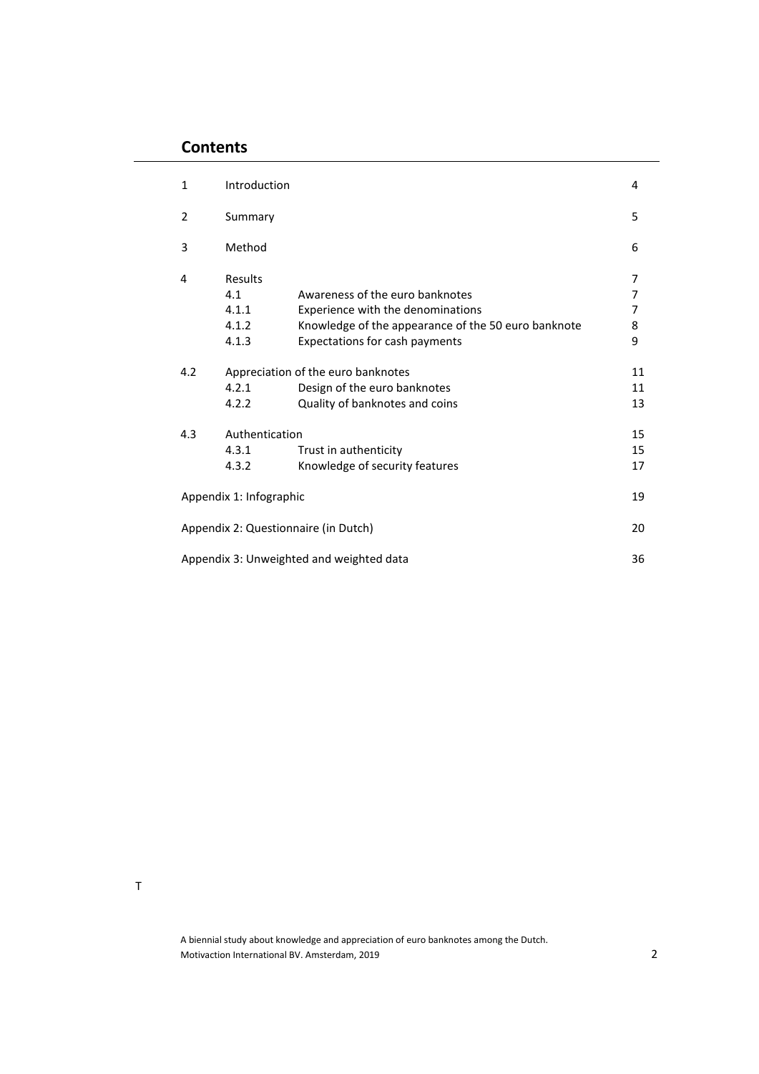## **Contents**

| $\mathbf{1}$ | Introduction                              |                                                                                                                                                               | 4                                  |
|--------------|-------------------------------------------|---------------------------------------------------------------------------------------------------------------------------------------------------------------|------------------------------------|
| 2            | Summary                                   |                                                                                                                                                               | 5                                  |
| 3            | Method                                    |                                                                                                                                                               | 6                                  |
| 4            | Results<br>4.1<br>4.1.1<br>4.1.2<br>4.1.3 | Awareness of the euro banknotes<br>Experience with the denominations<br>Knowledge of the appearance of the 50 euro banknote<br>Expectations for cash payments | 7<br>$\overline{7}$<br>7<br>8<br>9 |
| 4.2          | 4.2.1<br>4.2.2                            | Appreciation of the euro banknotes<br>Design of the euro banknotes<br>Quality of banknotes and coins                                                          | 11<br>11<br>13                     |
| 4.3          | Authentication<br>4.3.1<br>4.3.2          | Trust in authenticity<br>Knowledge of security features                                                                                                       | 15<br>15<br>17                     |
|              | Appendix 1: Infographic                   |                                                                                                                                                               | 19                                 |
|              |                                           | Appendix 2: Questionnaire (in Dutch)                                                                                                                          | 20                                 |
|              |                                           | Appendix 3: Unweighted and weighted data                                                                                                                      | 36                                 |

T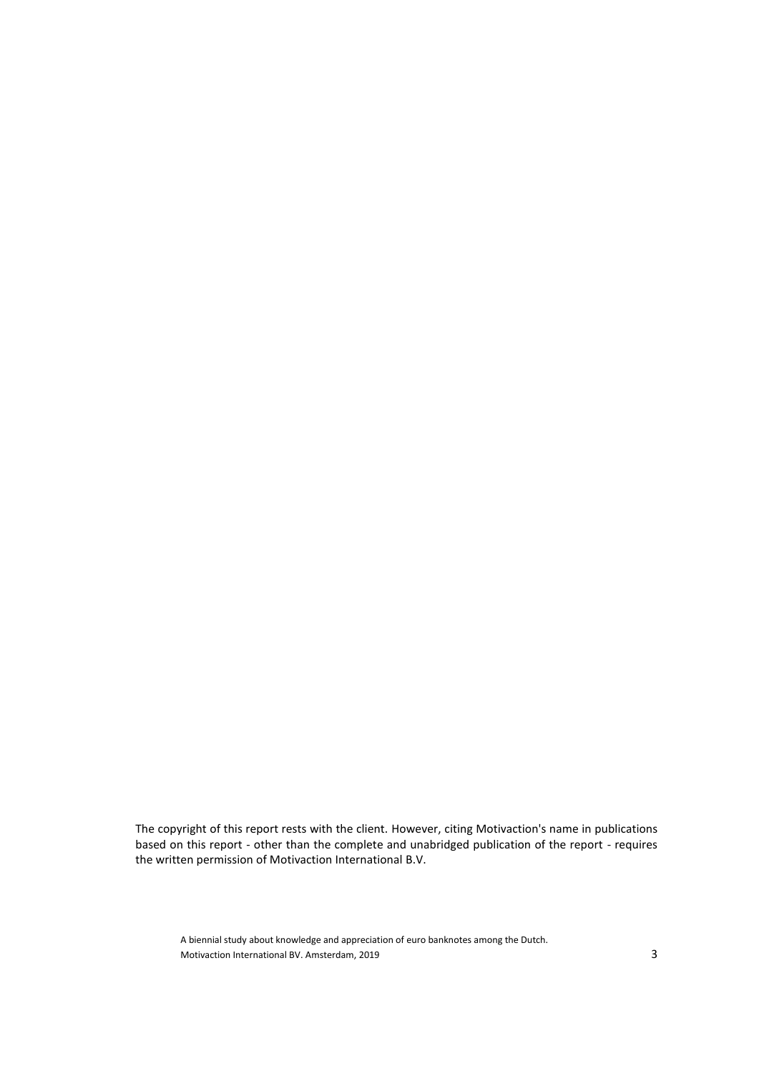The copyright of this report rests with the client. However, citing Motivaction's name in publications based on this report - other than the complete and unabridged publication of the report - requires the written permission of Motivaction International B.V.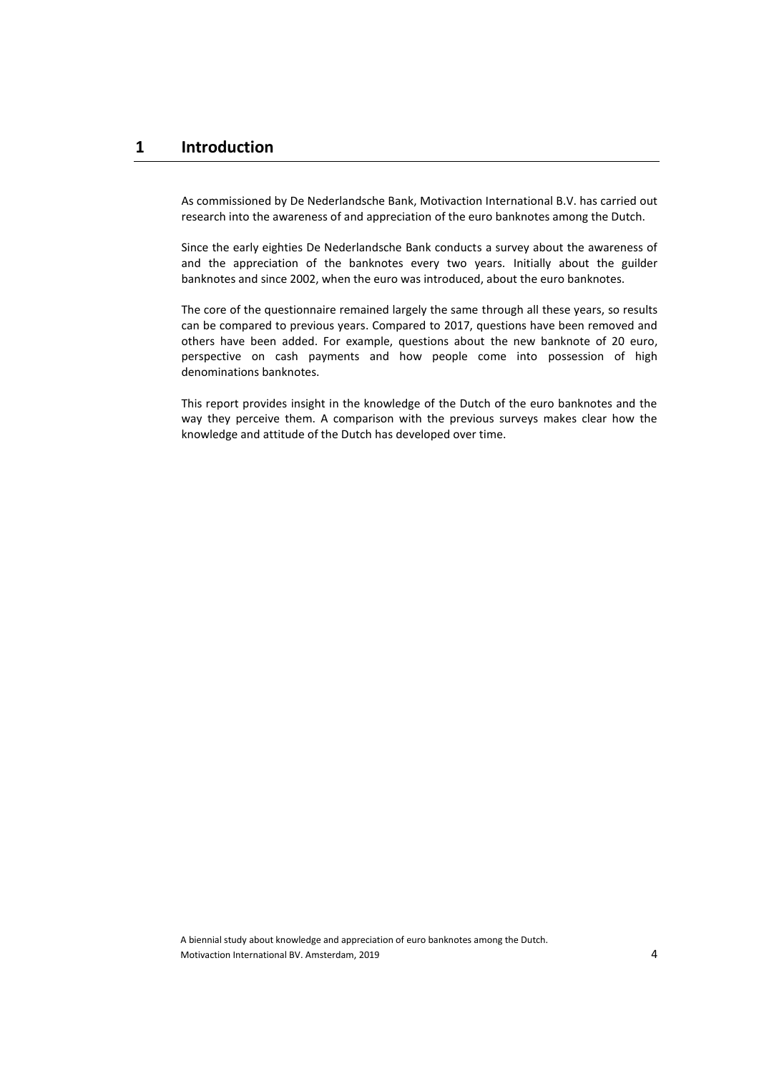## **1 Introduction**

As commissioned by De Nederlandsche Bank, Motivaction International B.V. has carried out research into the awareness of and appreciation of the euro banknotes among the Dutch.

Since the early eighties De Nederlandsche Bank conducts a survey about the awareness of and the appreciation of the banknotes every two years. Initially about the guilder banknotes and since 2002, when the euro was introduced, about the euro banknotes.

The core of the questionnaire remained largely the same through all these years, so results can be compared to previous years. Compared to 2017, questions have been removed and others have been added. For example, questions about the new banknote of 20 euro, perspective on cash payments and how people come into possession of high denominations banknotes.

This report provides insight in the knowledge of the Dutch of the euro banknotes and the way they perceive them. A comparison with the previous surveys makes clear how the knowledge and attitude of the Dutch has developed over time.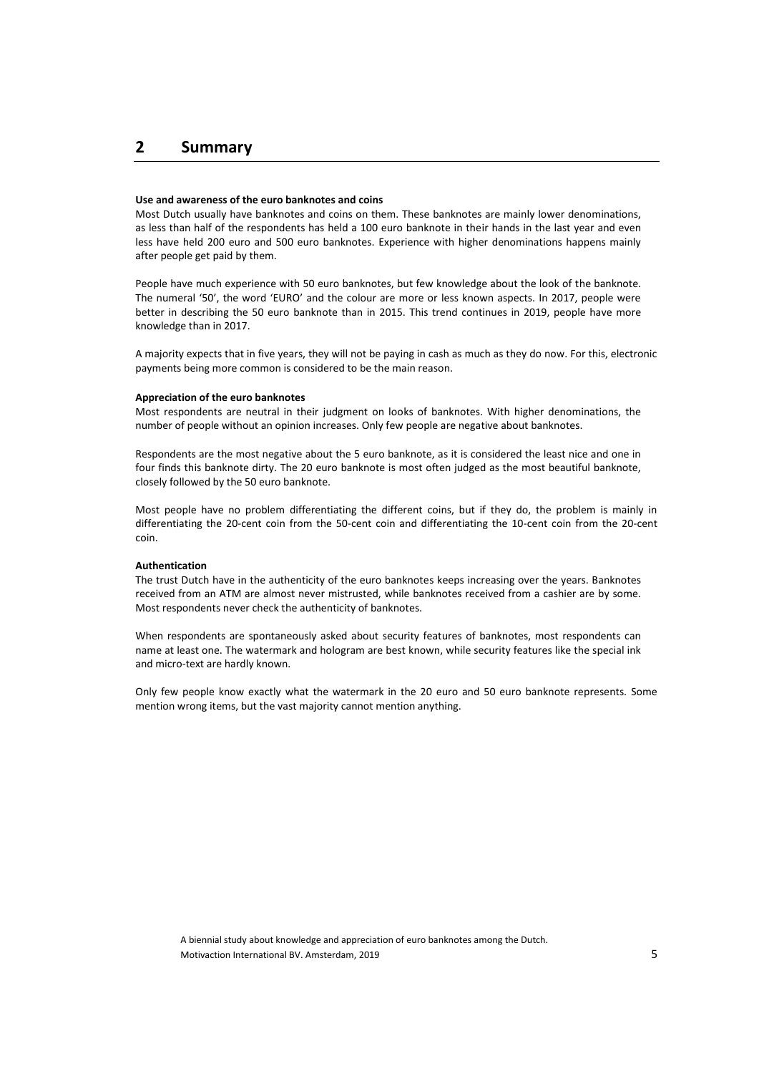## **2 Summary**

#### **Use and awareness of the euro banknotes and coins**

Most Dutch usually have banknotes and coins on them. These banknotes are mainly lower denominations, as less than half of the respondents has held a 100 euro banknote in their hands in the last year and even less have held 200 euro and 500 euro banknotes. Experience with higher denominations happens mainly after people get paid by them.

People have much experience with 50 euro banknotes, but few knowledge about the look of the banknote. The numeral '50', the word 'EURO' and the colour are more or less known aspects. In 2017, people were better in describing the 50 euro banknote than in 2015. This trend continues in 2019, people have more knowledge than in 2017.

A majority expects that in five years, they will not be paying in cash as much as they do now. For this, electronic payments being more common is considered to be the main reason.

#### **Appreciation of the euro banknotes**

Most respondents are neutral in their judgment on looks of banknotes. With higher denominations, the number of people without an opinion increases. Only few people are negative about banknotes.

Respondents are the most negative about the 5 euro banknote, as it is considered the least nice and one in four finds this banknote dirty. The 20 euro banknote is most often judged as the most beautiful banknote, closely followed by the 50 euro banknote.

Most people have no problem differentiating the different coins, but if they do, the problem is mainly in differentiating the 20-cent coin from the 50-cent coin and differentiating the 10-cent coin from the 20-cent coin.

#### **Authentication**

The trust Dutch have in the authenticity of the euro banknotes keeps increasing over the years. Banknotes received from an ATM are almost never mistrusted, while banknotes received from a cashier are by some. Most respondents never check the authenticity of banknotes.

When respondents are spontaneously asked about security features of banknotes, most respondents can name at least one. The watermark and hologram are best known, while security features like the special ink and micro-text are hardly known.

Only few people know exactly what the watermark in the 20 euro and 50 euro banknote represents. Some mention wrong items, but the vast majority cannot mention anything.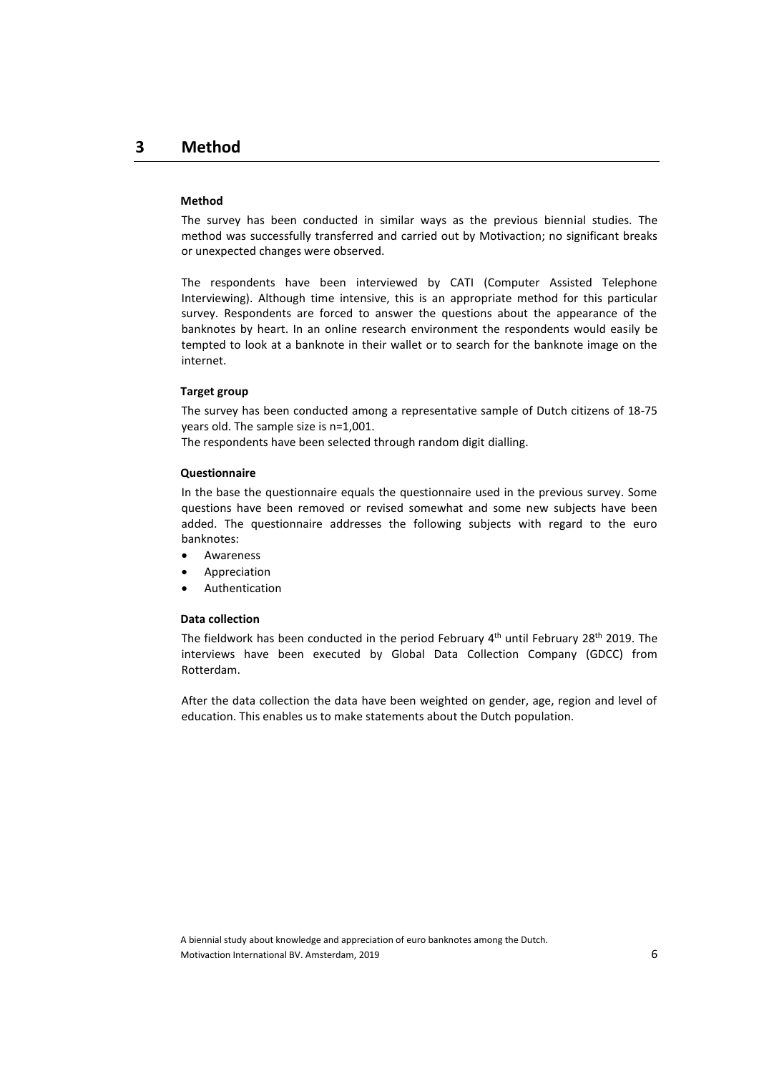#### **Method**

The survey has been conducted in similar ways as the previous biennial studies. The method was successfully transferred and carried out by Motivaction; no significant breaks or unexpected changes were observed.

The respondents have been interviewed by CATI (Computer Assisted Telephone Interviewing). Although time intensive, this is an appropriate method for this particular survey. Respondents are forced to answer the questions about the appearance of the banknotes by heart. In an online research environment the respondents would easily be tempted to look at a banknote in their wallet or to search for the banknote image on the internet.

#### **Target group**

The survey has been conducted among a representative sample of Dutch citizens of 18-75 years old. The sample size is n=1,001.

The respondents have been selected through random digit dialling.

#### **Questionnaire**

In the base the questionnaire equals the questionnaire used in the previous survey. Some questions have been removed or revised somewhat and some new subjects have been added. The questionnaire addresses the following subjects with regard to the euro banknotes:

- **Awareness**
- Appreciation
- **Authentication**

#### **Data collection**

The fieldwork has been conducted in the period February 4<sup>th</sup> until February 28<sup>th</sup> 2019. The interviews have been executed by Global Data Collection Company (GDCC) from Rotterdam.

After the data collection the data have been weighted on gender, age, region and level of education. This enables us to make statements about the Dutch population.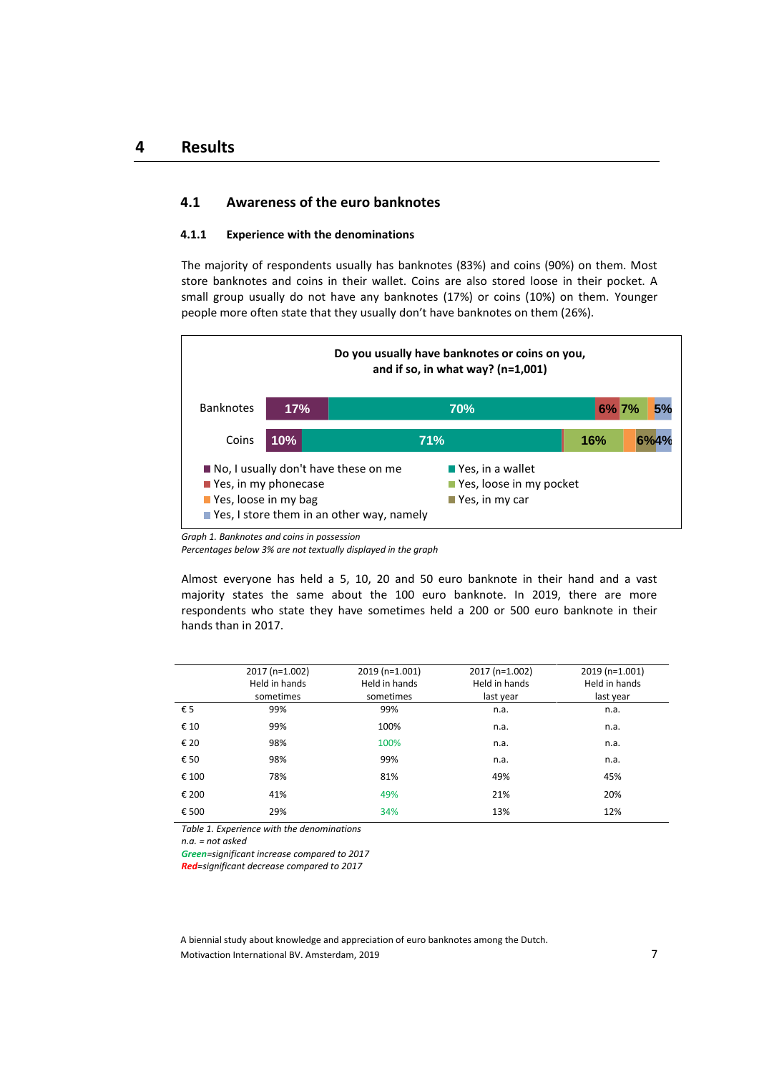## **4.1 Awareness of the euro banknotes**

#### **4.1.1 Experience with the denominations**

The majority of respondents usually has banknotes (83%) and coins (90%) on them. Most store banknotes and coins in their wallet. Coins are also stored loose in their pocket. A small group usually do not have any banknotes (17%) or coins (10%) on them. Younger people more often state that they usually don't have banknotes on them (26%).



*Graph 1. Banknotes and coins in possession*

*Percentages below 3% are not textually displayed in the graph*

Almost everyone has held a 5, 10, 20 and 50 euro banknote in their hand and a vast majority states the same about the 100 euro banknote. In 2019, there are more respondents who state they have sometimes held a 200 or 500 euro banknote in their hands than in 2017.

|       | 2017 (n=1.002)<br>Held in hands | 2019 (n=1.001)<br>Held in hands | 2017 (n=1.002)<br>Held in hands | 2019 (n=1.001)<br>Held in hands |
|-------|---------------------------------|---------------------------------|---------------------------------|---------------------------------|
|       | sometimes                       | sometimes                       | last year                       | last year                       |
| € 5   | 99%                             | 99%                             | n.a.                            | n.a.                            |
| € 10  | 99%                             | 100%                            | n.a.                            | n.a.                            |
| € 20  | 98%                             | 100%                            | n.a.                            | n.a.                            |
| € 50  | 98%                             | 99%                             | n.a.                            | n.a.                            |
| € 100 | 78%                             | 81%                             | 49%                             | 45%                             |
| € 200 | 41%                             | 49%                             | 21%                             | 20%                             |
| € 500 | 29%                             | 34%                             | 13%                             | 12%                             |

*Table 1. Experience with the denominations*

*n.a. = not asked*

*Green=significant increase compared to 2017*

*Red=significant decrease compared to 2017*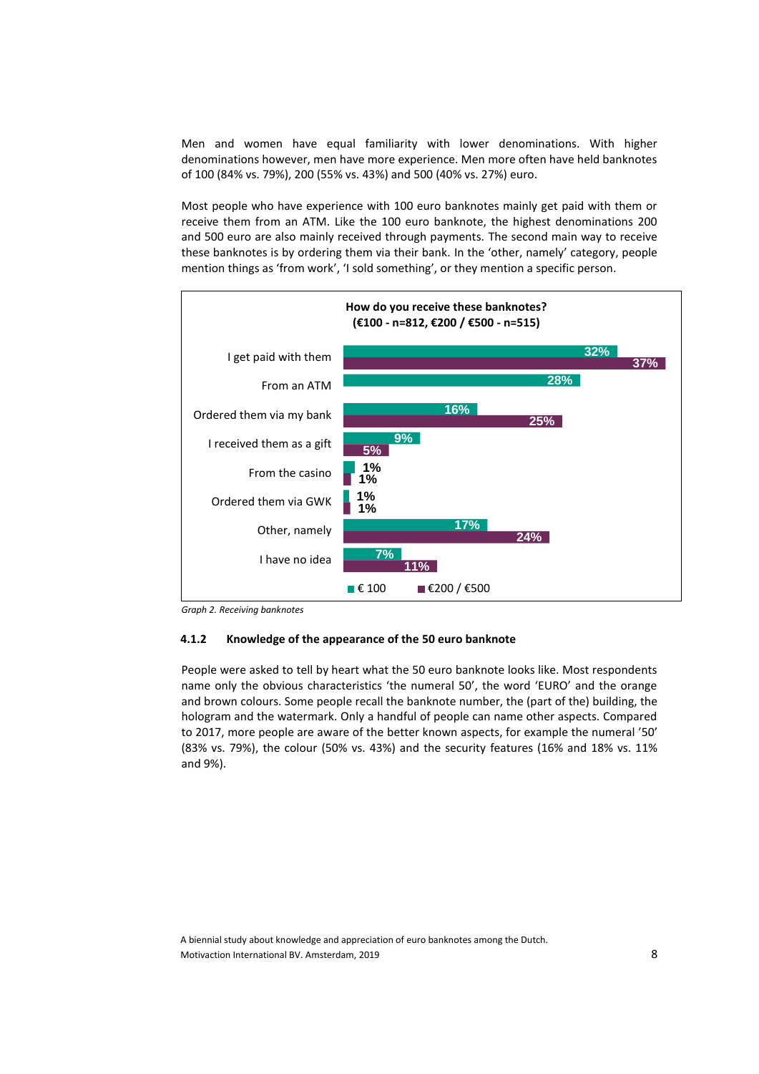Men and women have equal familiarity with lower denominations. With higher denominations however, men have more experience. Men more often have held banknotes of 100 (84% vs. 79%), 200 (55% vs. 43%) and 500 (40% vs. 27%) euro.

Most people who have experience with 100 euro banknotes mainly get paid with them or receive them from an ATM. Like the 100 euro banknote, the highest denominations 200 and 500 euro are also mainly received through payments. The second main way to receive these banknotes is by ordering them via their bank. In the 'other, namely' category, people mention things as 'from work', 'I sold something', or they mention a specific person.



*Graph 2. Receiving banknotes*

#### **4.1.2 Knowledge of the appearance of the 50 euro banknote**

People were asked to tell by heart what the 50 euro banknote looks like. Most respondents name only the obvious characteristics 'the numeral 50', the word 'EURO' and the orange and brown colours. Some people recall the banknote number, the (part of the) building, the hologram and the watermark. Only a handful of people can name other aspects. Compared to 2017, more people are aware of the better known aspects, for example the numeral '50' (83% vs. 79%), the colour (50% vs. 43%) and the security features (16% and 18% vs. 11% and 9%).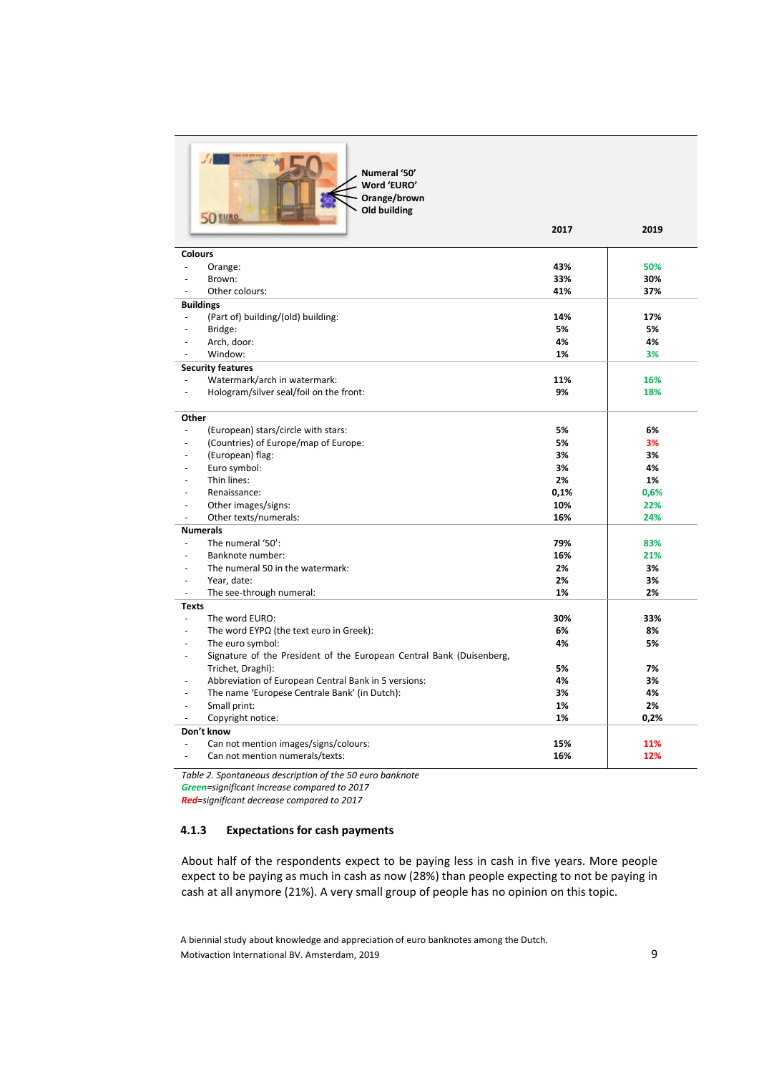

**Numeral '50' Word 'EURO' Orange/brown Old building**

|                          | 50 EURO                                                              |      |      |
|--------------------------|----------------------------------------------------------------------|------|------|
|                          |                                                                      | 2017 | 2019 |
| <b>Colours</b>           |                                                                      |      |      |
| $\overline{a}$           | Orange:                                                              | 43%  | 50%  |
|                          | Brown:                                                               | 33%  | 30%  |
|                          | Other colours:                                                       | 41%  | 37%  |
|                          | <b>Buildings</b>                                                     |      |      |
|                          | (Part of) building/(old) building:                                   | 14%  | 17%  |
|                          | Bridge:                                                              | 5%   | 5%   |
|                          | Arch, door:                                                          | 4%   | 4%   |
|                          | Window:                                                              | 1%   | 3%   |
|                          | <b>Security features</b>                                             |      |      |
|                          | Watermark/arch in watermark:                                         | 11%  | 16%  |
|                          | Hologram/silver seal/foil on the front:                              | 9%   | 18%  |
| Other                    |                                                                      |      |      |
| $\overline{\phantom{a}}$ | (European) stars/circle with stars:                                  | 5%   | 6%   |
|                          | (Countries) of Europe/map of Europe:                                 | 5%   | 3%   |
|                          | (European) flag:                                                     | 3%   | 3%   |
|                          | Euro symbol:                                                         | 3%   | 4%   |
|                          | Thin lines:                                                          | 2%   | 1%   |
|                          | Renaissance:                                                         | 0,1% | 0,6% |
|                          | Other images/signs:                                                  | 10%  | 22%  |
|                          | Other texts/numerals:                                                | 16%  | 24%  |
|                          | <b>Numerals</b>                                                      |      |      |
| $\overline{a}$           | The numeral '50':                                                    | 79%  | 83%  |
|                          | Banknote number:                                                     | 16%  | 21%  |
|                          | The numeral 50 in the watermark:                                     | 2%   | 3%   |
|                          | Year, date:                                                          | 2%   | 3%   |
| $\overline{\phantom{a}}$ | The see-through numeral:                                             | 1%   | 2%   |
| <b>Texts</b>             |                                                                      |      |      |
| $\overline{\phantom{a}}$ | The word EURO:                                                       | 30%  | 33%  |
|                          | The word $EYP\Omega$ (the text euro in Greek):                       | 6%   | 8%   |
|                          | The euro symbol:                                                     | 4%   | 5%   |
|                          | Signature of the President of the European Central Bank (Duisenberg, |      |      |
|                          | Trichet, Draghi):                                                    | 5%   | 7%   |
|                          | Abbreviation of European Central Bank in 5 versions:                 | 4%   | 3%   |
|                          | The name 'Europese Centrale Bank' (in Dutch):                        | 3%   | 4%   |
|                          | Small print:                                                         | 1%   | 2%   |
|                          | Copyright notice:                                                    | 1%   | 0,2% |
|                          | Don't know                                                           |      |      |
|                          | Can not mention images/signs/colours:                                | 15%  | 11%  |
|                          | Can not mention numerals/texts:                                      | 16%  | 12%  |

*Table 2. Spontaneous description of the 50 euro banknote Green=significant increase compared to 2017*

*Red=significant decrease compared to 2017*

#### **4.1.3 Expectations for cash payments**

About half of the respondents expect to be paying less in cash in five years. More people expect to be paying as much in cash as now (28%) than people expecting to not be paying in cash at all anymore (21%). A very small group of people has no opinion on this topic.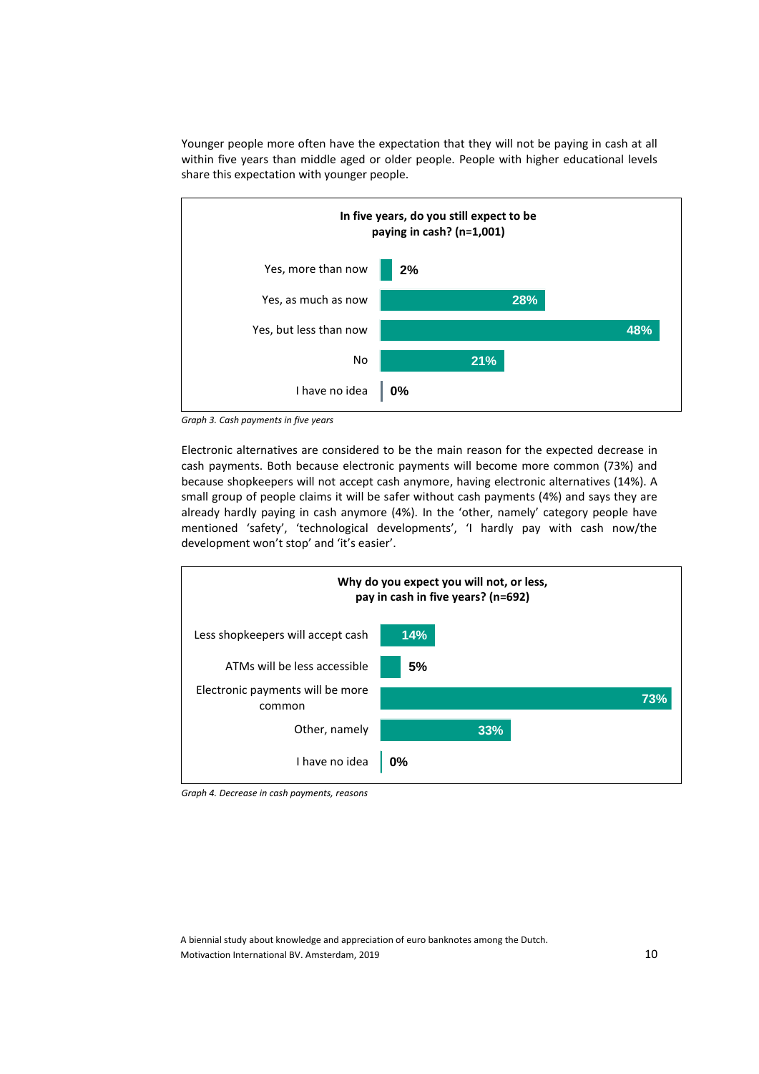Younger people more often have the expectation that they will not be paying in cash at all within five years than middle aged or older people. People with higher educational levels share this expectation with younger people.



*Graph 3. Cash payments in five years*

Electronic alternatives are considered to be the main reason for the expected decrease in cash payments. Both because electronic payments will become more common (73%) and because shopkeepers will not accept cash anymore, having electronic alternatives (14%). A small group of people claims it will be safer without cash payments (4%) and says they are already hardly paying in cash anymore (4%). In the 'other, namely' category people have mentioned 'safety', 'technological developments', 'I hardly pay with cash now/the development won't stop' and 'it's easier'.



*Graph 4. Decrease in cash payments, reasons*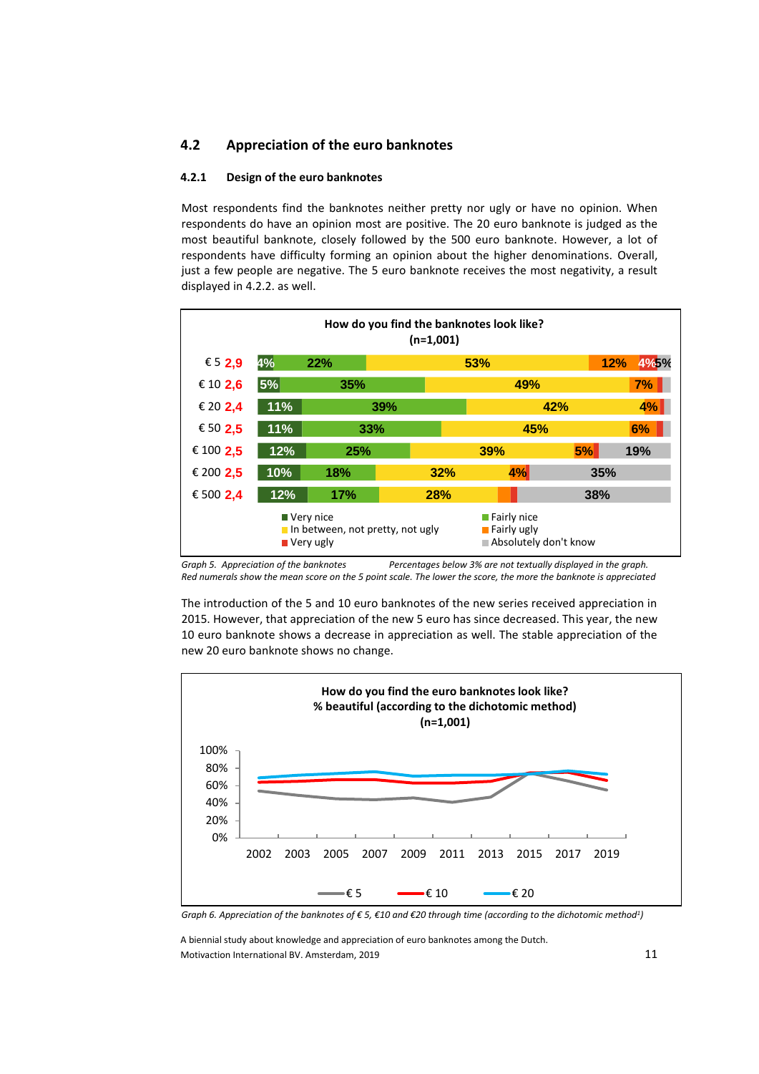## **4.2 Appreciation of the euro banknotes**

## **4.2.1 Design of the euro banknotes**

Most respondents find the banknotes neither pretty nor ugly or have no opinion. When respondents do have an opinion most are positive. The 20 euro banknote is judged as the most beautiful banknote, closely followed by the 500 euro banknote. However, a lot of respondents have difficulty forming an opinion about the higher denominations. Overall, just a few people are negative. The 5 euro banknote receives the most negativity, a result displayed in 4.2.2. as well.

| How do you find the banknotes look like?<br>(n=1,001)                                                                                                              |     |            |     |            |     |             |  |
|--------------------------------------------------------------------------------------------------------------------------------------------------------------------|-----|------------|-----|------------|-----|-------------|--|
| € 5 2,9                                                                                                                                                            | 4%  | 22%        |     | 53%        |     | 12%<br>4%5% |  |
| € 10 2,6                                                                                                                                                           | 5%  | 35%        |     |            | 49% | 7%          |  |
| € 20 2,4                                                                                                                                                           | 11% | 39%<br>42% |     |            |     | 4%          |  |
| € 50 2,5                                                                                                                                                           | 11% | 33%        |     |            | 45% | 6%          |  |
| € 100 2,5                                                                                                                                                          | 12% | 25%        |     | <b>39%</b> | 5%  | 19%         |  |
| € 200 2,5                                                                                                                                                          | 10% | 18%        |     | 32%        | 4%  | 35%         |  |
| € 500 2,4                                                                                                                                                          | 12% | <b>17%</b> | 28% |            |     | 38%         |  |
| $\blacksquare$ Fairly nice<br>■ Very nice<br>$\blacksquare$ Fairly ugly<br>$\blacksquare$ In between, not pretty, not ugly<br>Absolutely don't know<br>■ Very ugly |     |            |     |            |     |             |  |

*Graph 5. Appreciation of the banknotes Percentages below 3% are not textually displayed in the graph. Red numerals show the mean score on the 5 point scale. The lower the score, the more the banknote is appreciated*

The introduction of the 5 and 10 euro banknotes of the new series received appreciation in 2015. However, that appreciation of the new 5 euro has since decreased. This year, the new 10 euro banknote shows a decrease in appreciation as well. The stable appreciation of the new 20 euro banknote shows no change.



*Graph 6. Appreciation of the banknotes of € 5, €10 and €20 through time (according to the dichotomic method<sup>1</sup> )*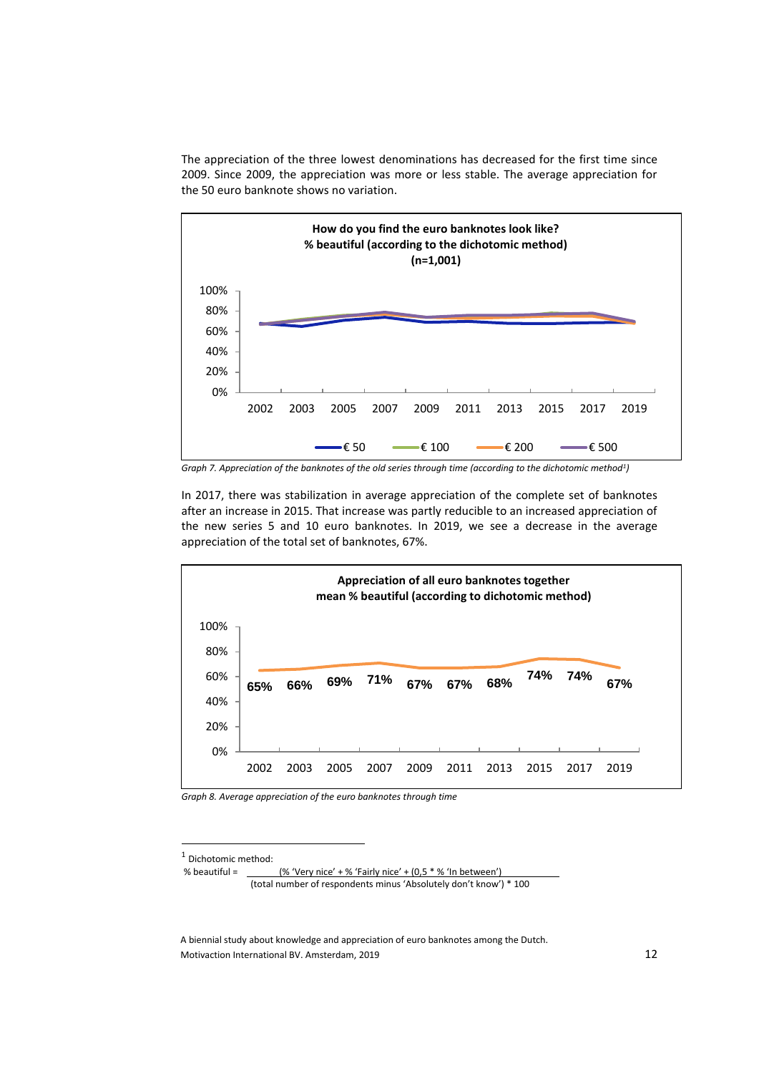The appreciation of the three lowest denominations has decreased for the first time since 2009. Since 2009, the appreciation was more or less stable. The average appreciation for the 50 euro banknote shows no variation.



*Graph 7. Appreciation of the banknotes of the old series through time (according to the dichotomic method<sup>1</sup> )*

In 2017, there was stabilization in average appreciation of the complete set of banknotes after an increase in 2015. That increase was partly reducible to an increased appreciation of the new series 5 and 10 euro banknotes. In 2019, we see a decrease in the average appreciation of the total set of banknotes, 67%.



*Graph 8. Average appreciation of the euro banknotes through time*

 $\overline{a}$ 

<sup>1</sup> Dichotomic method:

<sup>%</sup> beautiful =  $($ % 'Very nice' + % 'Fairly nice' +  $(0,5,8)$ ' In between') (total number of respondents minus 'Absolutely don't know') \* 100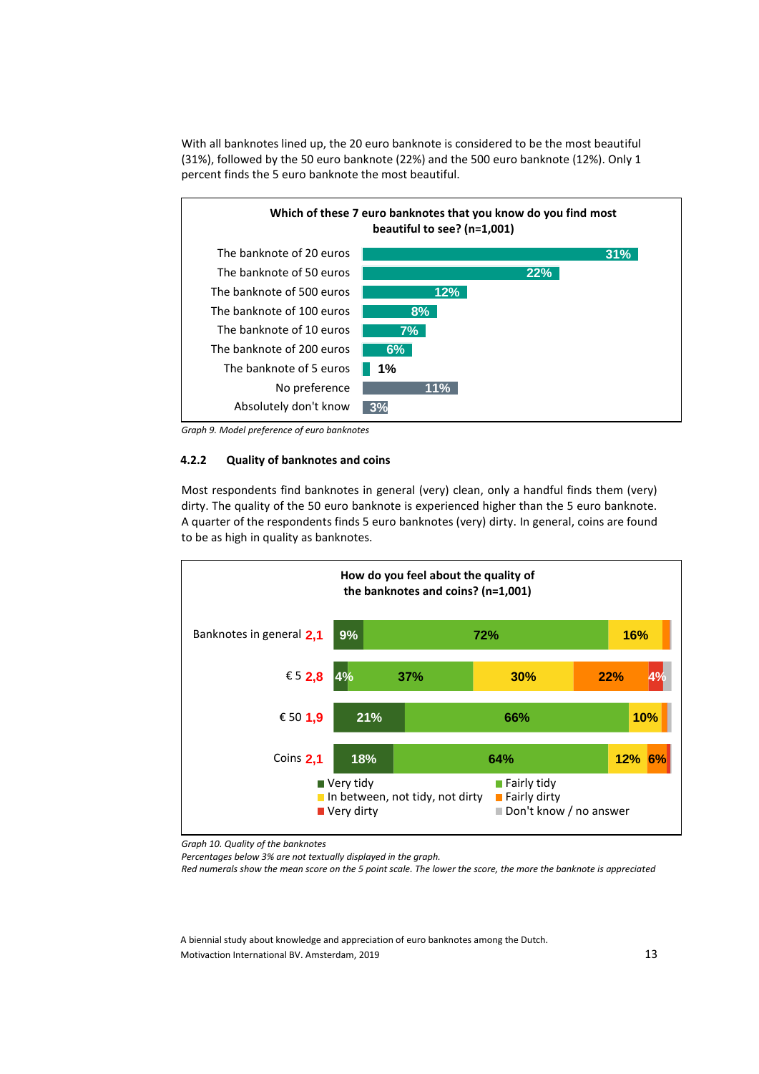With all banknotes lined up, the 20 euro banknote is considered to be the most beautiful (31%), followed by the 50 euro banknote (22%) and the 500 euro banknote (12%). Only 1 percent finds the 5 euro banknote the most beautiful.



*Graph 9. Model preference of euro banknotes*

#### **4.2.2 Quality of banknotes and coins**

Most respondents find banknotes in general (very) clean, only a handful finds them (very) dirty. The quality of the 50 euro banknote is experienced higher than the 5 euro banknote. A quarter of the respondents finds 5 euro banknotes (very) dirty. In general, coins are found to be as high in quality as banknotes.



*Graph 10. Quality of the banknotes*

*Percentages below 3% are not textually displayed in the graph.*

*Red numerals show the mean score on the 5 point scale. The lower the score, the more the banknote is appreciated*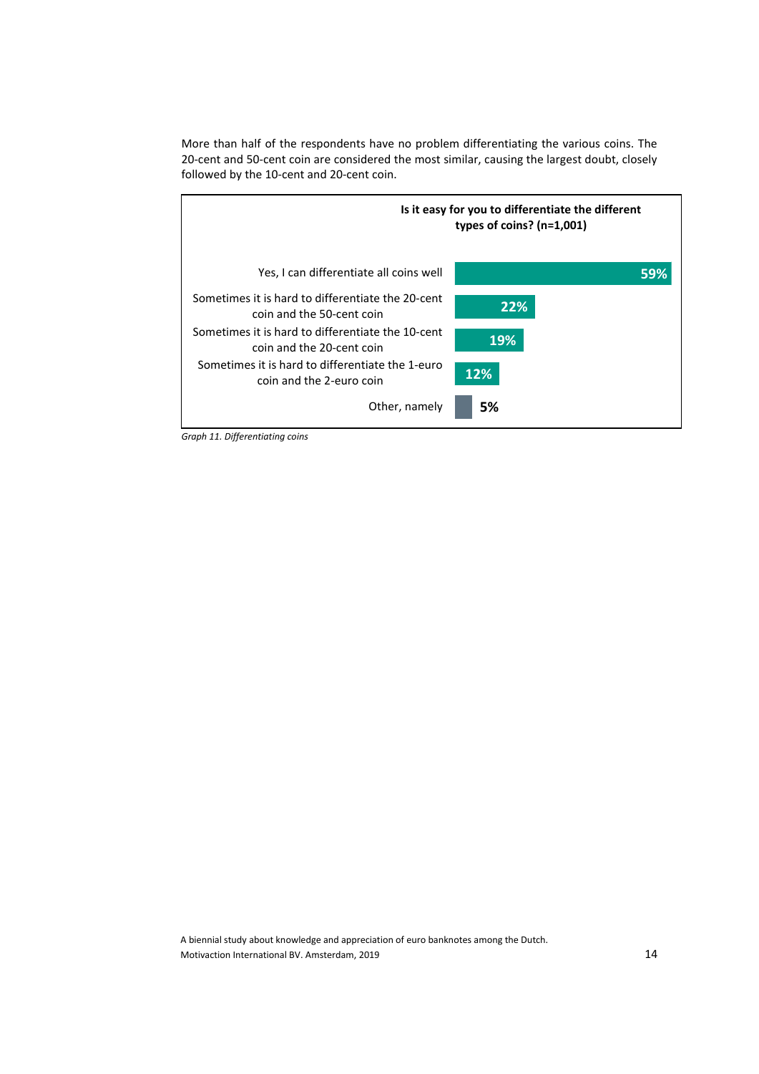More than half of the respondents have no problem differentiating the various coins. The 20-cent and 50-cent coin are considered the most similar, causing the largest doubt, closely followed by the 10-cent and 20-cent coin.



*Graph 11. Differentiating coins*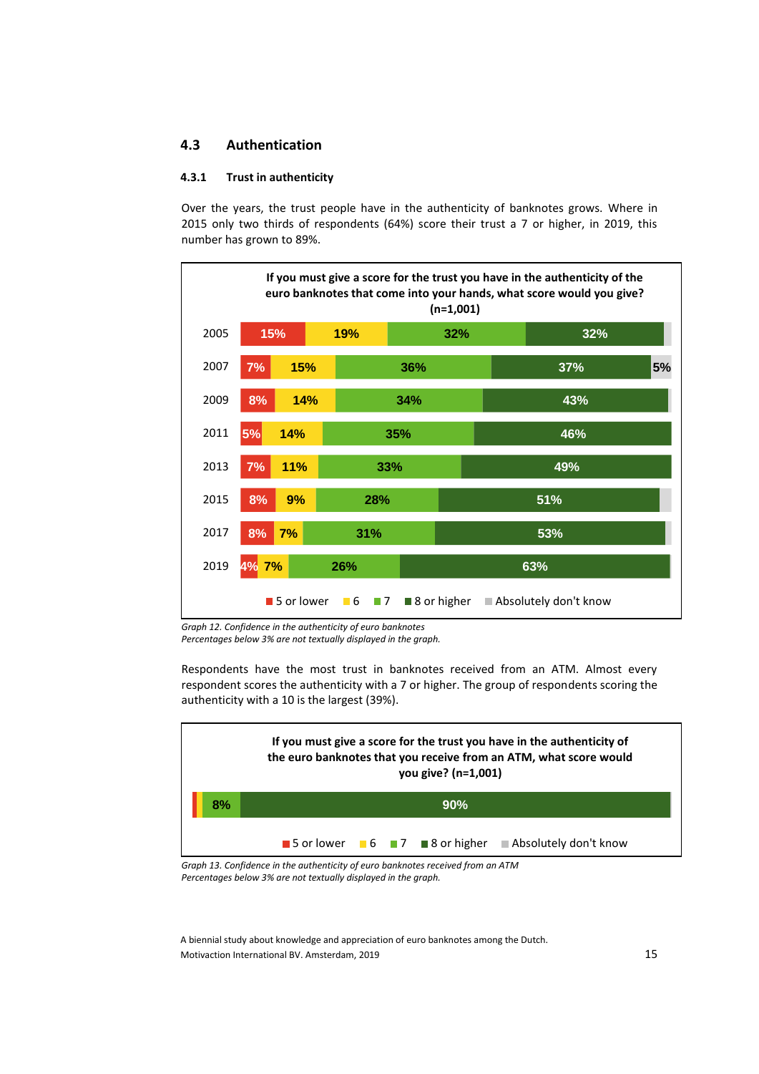## **4.3 Authentication**

## **4.3.1 Trust in authenticity**

Over the years, the trust people have in the authenticity of banknotes grows. Where in 2015 only two thirds of respondents (64%) score their trust a 7 or higher, in 2019, this number has grown to 89%.



*Graph 12. Confidence in the authenticity of euro banknotes Percentages below 3% are not textually displayed in the graph.*

Respondents have the most trust in banknotes received from an ATM. Almost every respondent scores the authenticity with a 7 or higher. The group of respondents scoring the authenticity with a 10 is the largest (39%).



*Graph 13. Confidence in the authenticity of euro banknotes received from an ATM Percentages below 3% are not textually displayed in the graph.*

A biennial study about knowledge and appreciation of euro banknotes among the Dutch. Motivaction International BV. Amsterdam, 2019 15 15 16 17 18 18 19 18 19 18 19 18 19 18 19 18 19 19 19 19 19 1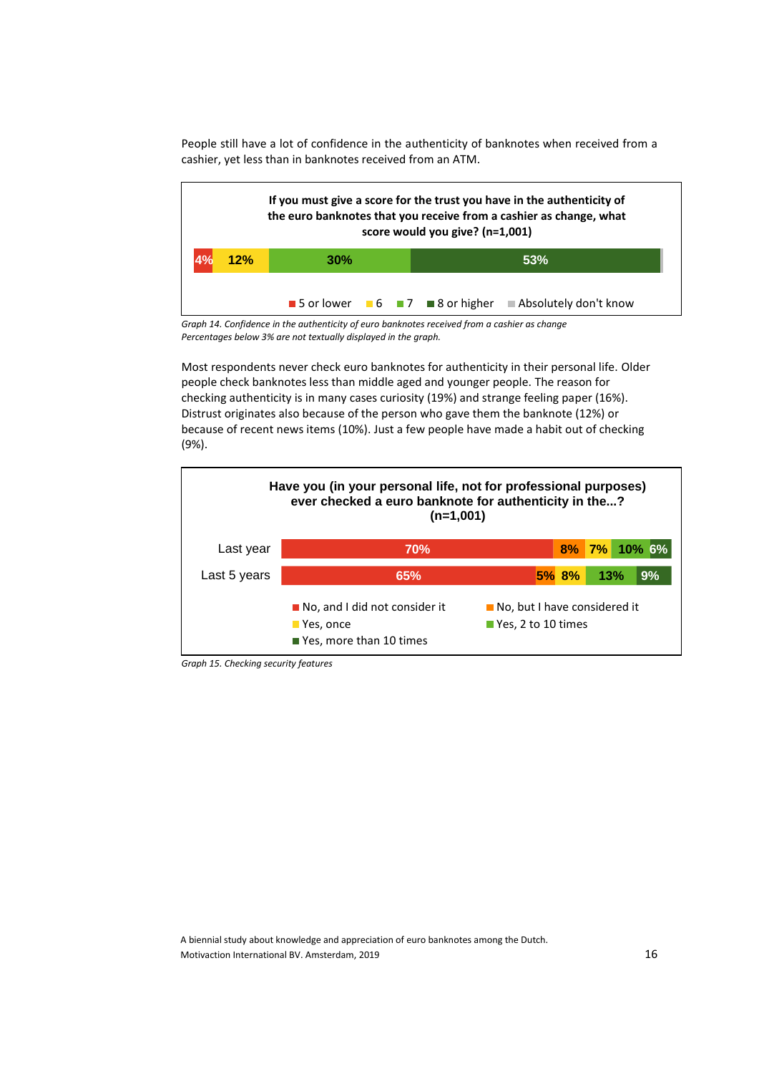People still have a lot of confidence in the authenticity of banknotes when received from a cashier, yet less than in banknotes received from an ATM.



*Graph 14. Confidence in the authenticity of euro banknotes received from a cashier as change Percentages below 3% are not textually displayed in the graph.*

Most respondents never check euro banknotes for authenticity in their personal life. Older people check banknotes less than middle aged and younger people. The reason for checking authenticity is in many cases curiosity (19%) and strange feeling paper (16%). Distrust originates also because of the person who gave them the banknote (12%) or because of recent news items (10%). Just a few people have made a habit out of checking (9%).



*Graph 15. Checking security features*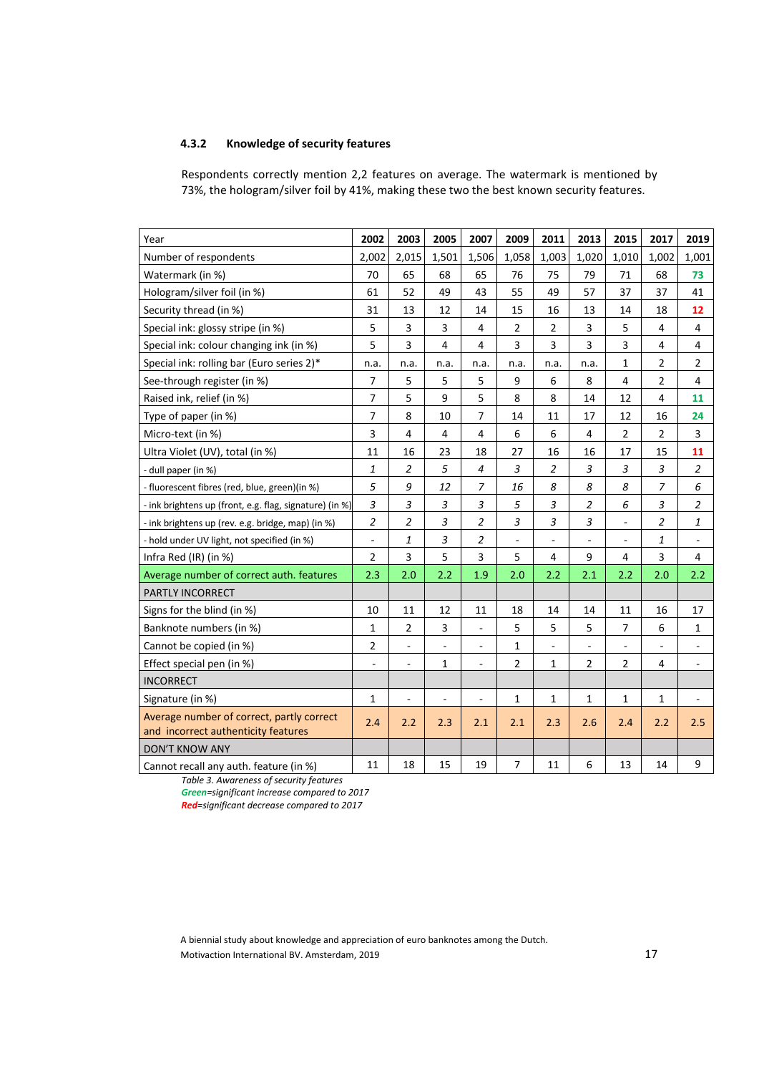## **4.3.2 Knowledge of security features**

Respondents correctly mention 2,2 features on average. The watermark is mentioned by 73%, the hologram/silver foil by 41%, making these two the best known security features.

| Year                                                                             | 2002                     | 2003                     | 2005                     | 2007                     | 2009                | 2011                      | 2013                      | 2015           | 2017           | 2019                     |
|----------------------------------------------------------------------------------|--------------------------|--------------------------|--------------------------|--------------------------|---------------------|---------------------------|---------------------------|----------------|----------------|--------------------------|
| Number of respondents                                                            | 2,002                    | 2,015                    | 1,501                    | 1,506                    | 1,058               | 1,003                     | 1,020                     | 1,010          | 1,002          | 1,001                    |
| Watermark (in %)                                                                 | 70                       | 65                       | 68                       | 65                       | 76                  | 75                        | 79                        | 71             | 68             | 73                       |
| Hologram/silver foil (in %)                                                      | 61                       | 52                       | 49                       | 43                       | 55                  | 49                        | 57                        | 37             | 37             | 41                       |
| Security thread (in %)                                                           | 31                       | 13                       | 12                       | 14                       | 15                  | 16                        | 13                        | 14             | 18             | 12                       |
| Special ink: glossy stripe (in %)                                                | 5                        | 3                        | 3                        | 4                        | $\overline{2}$      | $\overline{2}$            | 3                         | 5              | 4              | $\overline{4}$           |
| Special ink: colour changing ink (in %)                                          | 5                        | 3                        | 4                        | 4                        | 3                   | 3                         | 3                         | 3              | 4              | $\overline{\mathbf{4}}$  |
| Special ink: rolling bar (Euro series 2)*                                        | n.a.                     | n.a.                     | n.a.                     | n.a.                     | n.a.                | n.a.                      | n.a.                      | 1              | $\overline{2}$ | $\overline{2}$           |
| See-through register (in %)                                                      | $\overline{7}$           | 5                        | 5                        | 5                        | 9                   | 6                         | 8                         | 4              | 2              | 4                        |
| Raised ink, relief (in %)                                                        | $\overline{7}$           | 5                        | 9                        | 5                        | 8                   | 8                         | 14                        | 12             | $\overline{4}$ | 11                       |
| Type of paper (in %)                                                             | $\overline{7}$           | 8                        | 10                       | $\overline{7}$           | 14                  | 11                        | 17                        | 12             | 16             | 24                       |
| Micro-text (in %)                                                                | 3                        | $\overline{4}$           | 4                        | 4                        | 6                   | 6                         | 4                         | $\overline{2}$ | $\overline{2}$ | 3                        |
| Ultra Violet (UV), total (in %)                                                  | 11                       | 16                       | 23                       | 18                       | 27                  | 16                        | 16                        | 17             | 15             | 11                       |
| - dull paper (in %)                                                              | 1                        | $\overline{2}$           | 5                        | $\overline{4}$           | 3                   | 2                         | 3                         | 3              | 3              | $\overline{2}$           |
| - fluorescent fibres (red, blue, green)(in %)                                    | 5                        | 9                        | 12                       | $\overline{7}$           | 16                  | 8                         | 8                         | 8              | $\overline{7}$ | 6                        |
| - ink brightens up (front, e.g. flag, signature) (in %)                          | 3                        | 3                        | 3                        | 3                        | 5                   | 3                         | $\overline{c}$            | 6              | 3              | $\boldsymbol{2}$         |
| - ink brightens up (rev. e.g. bridge, map) (in %)                                | $\overline{2}$           | $\overline{2}$           | 3                        | $\boldsymbol{2}$         | 3                   | $\ensuremath{\mathsf{3}}$ | $\ensuremath{\mathsf{3}}$ | $\Box$         | $\overline{c}$ | $\mathbf{1}$             |
| - hold under UV light, not specified (in %)                                      | $\overline{\phantom{a}}$ | $\mathbf{1}$             | 3                        | $\overline{2}$           | $\bar{\phantom{a}}$ | $\overline{\phantom{a}}$  | $\overline{\phantom{a}}$  | $\blacksquare$ | 1              | $\overline{\phantom{a}}$ |
| Infra Red (IR) (in %)                                                            | 2                        | 3                        | 5                        | 3                        | 5                   | 4                         | 9                         | 4              | 3              | 4                        |
| Average number of correct auth. features                                         | 2.3                      | 2.0                      | 2.2                      | 1.9                      | 2.0                 | 2.2                       | 2.1                       | 2.2            | 2.0            | 2.2                      |
| PARTLY INCORRECT                                                                 |                          |                          |                          |                          |                     |                           |                           |                |                |                          |
| Signs for the blind (in %)                                                       | 10                       | 11                       | 12                       | 11                       | 18                  | 14                        | 14                        | 11             | 16             | 17                       |
| Banknote numbers (in %)                                                          | 1                        | $\overline{2}$           | 3                        | $\blacksquare$           | 5                   | 5                         | 5                         | $\overline{7}$ | 6              | $\mathbf{1}$             |
| Cannot be copied (in %)                                                          | $\overline{2}$           | $\overline{\phantom{a}}$ | $\overline{\phantom{a}}$ | $\overline{\phantom{a}}$ | $\mathbf{1}$        | ÷,                        | $\blacksquare$            | $\blacksquare$ | $\blacksquare$ | $\blacksquare$           |
| Effect special pen (in %)                                                        | $\overline{\phantom{0}}$ | ÷,                       | $\mathbf{1}$             | $\overline{\phantom{a}}$ | $\overline{2}$      | $\mathbf 1$               | $\overline{2}$            | $\overline{2}$ | 4              | ÷,                       |
| <b>INCORRECT</b>                                                                 |                          |                          |                          |                          |                     |                           |                           |                |                |                          |
| Signature (in %)                                                                 | $\mathbf{1}$             | $\overline{a}$           | $\overline{a}$           | $\bar{a}$                | $\mathbf{1}$        | $\mathbf{1}$              | $\mathbf{1}$              | $\mathbf{1}$   | $\mathbf{1}$   |                          |
| Average number of correct, partly correct<br>and incorrect authenticity features | 2.4                      | 2.2                      | 2.3                      | 2.1                      | 2.1                 | 2.3                       | 2.6                       | 2.4            | 2.2            | 2.5                      |
| <b>DON'T KNOW ANY</b>                                                            |                          |                          |                          |                          |                     |                           |                           |                |                |                          |
| Cannot recall any auth. feature (in %)                                           | 11                       | 18                       | 15                       | 19                       | 7                   | 11                        | 6                         | 13             | 14             | 9                        |

*Table 3. Awareness of security features*

*Green=significant increase compared to 2017*

*Red=significant decrease compared to 2017*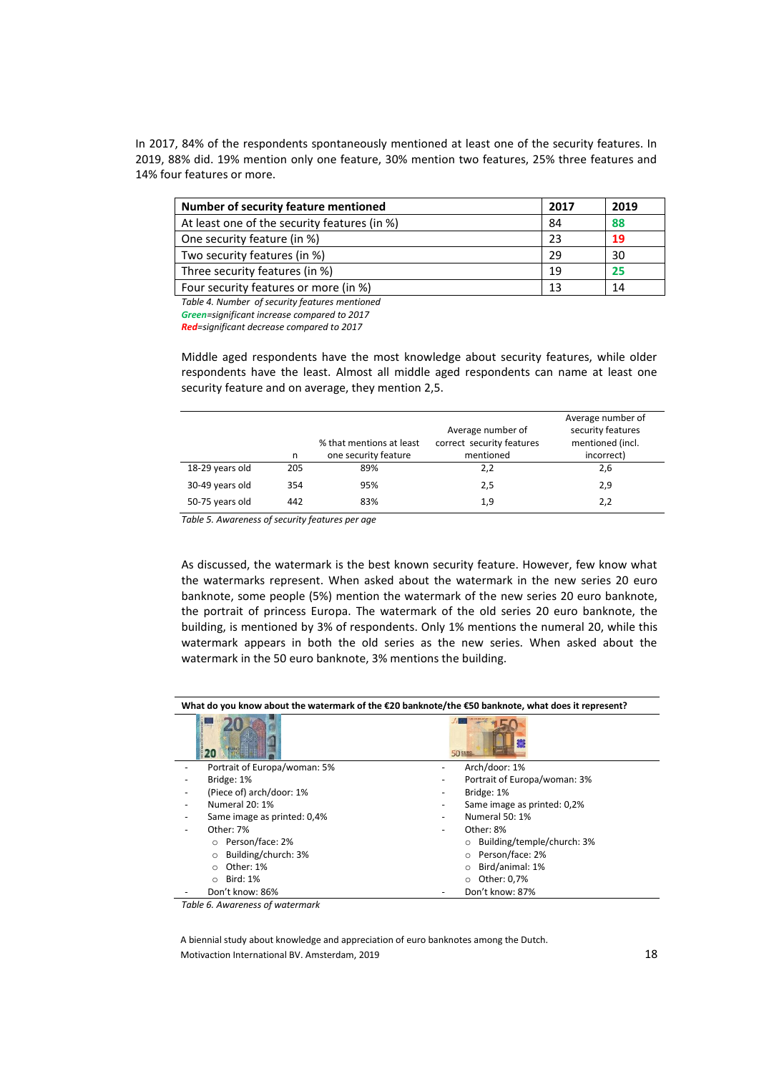In 2017, 84% of the respondents spontaneously mentioned at least one of the security features. In 2019, 88% did. 19% mention only one feature, 30% mention two features, 25% three features and 14% four features or more.

| Number of security feature mentioned         | 2017 | 2019 |
|----------------------------------------------|------|------|
| At least one of the security features (in %) | 84   | 88   |
| One security feature (in %)                  | 23   | 19   |
| Two security features (in %)                 | 29   | 30   |
| Three security features (in %)               | 19   | 25   |
| Four security features or more (in %)        | 13   | 14   |

*Table 4. Number of security features mentioned*

*Green=significant increase compared to 2017*

*Red=significant decrease compared to 2017*

Middle aged respondents have the most knowledge about security features, while older respondents have the least. Almost all middle aged respondents can name at least one security feature and on average, they mention 2,5.

|                 | n   | % that mentions at least<br>one security feature | Average number of<br>correct security features<br>mentioned | Average number of<br>security features<br>mentioned (incl.<br>incorrect) |
|-----------------|-----|--------------------------------------------------|-------------------------------------------------------------|--------------------------------------------------------------------------|
| 18-29 years old | 205 | 89%                                              | 2,2                                                         | 2,6                                                                      |
| 30-49 years old | 354 | 95%                                              | 2,5                                                         | 2,9                                                                      |
| 50-75 years old | 442 | 83%                                              | 1,9                                                         | 2,2                                                                      |

*Table 5. Awareness of security features per age*

As discussed, the watermark is the best known security feature. However, few know what the watermarks represent. When asked about the watermark in the new series 20 euro banknote, some people (5%) mention the watermark of the new series 20 euro banknote, the portrait of princess Europa. The watermark of the old series 20 euro banknote, the building, is mentioned by 3% of respondents. Only 1% mentions the numeral 20, while this watermark appears in both the old series as the new series. When asked about the watermark in the 50 euro banknote, 3% mentions the building.

#### **What do you know about the watermark of the €20 banknote/the €50 banknote, what does it represent?**

|                                | 50 EURO                      |
|--------------------------------|------------------------------|
| Portrait of Europa/woman: 5%   | Arch/door: 1%                |
| Bridge: 1%                     | Portrait of Europa/woman: 3% |
| (Piece of) arch/door: 1%       | Bridge: 1%<br>-              |
| Numeral 20: 1%                 | Same image as printed: 0,2%  |
| Same image as printed: 0,4%    | <b>Numeral 50: 1%</b>        |
| Other: 7%                      | Other: 8%                    |
| o Person/face: 2%              | Building/temple/church: 3%   |
| Building/church: 3%<br>$\circ$ | Person/face: 2%<br>$\circ$   |
| Other: 1%<br>$\circ$           | Bird/animal: 1%              |
| <b>Bird: 1%</b><br>$\circ$     | Other: 0,7%<br>$\circ$       |
| Don't know: 86%                | Don't know: 87%              |

*Table 6. Awareness of watermark*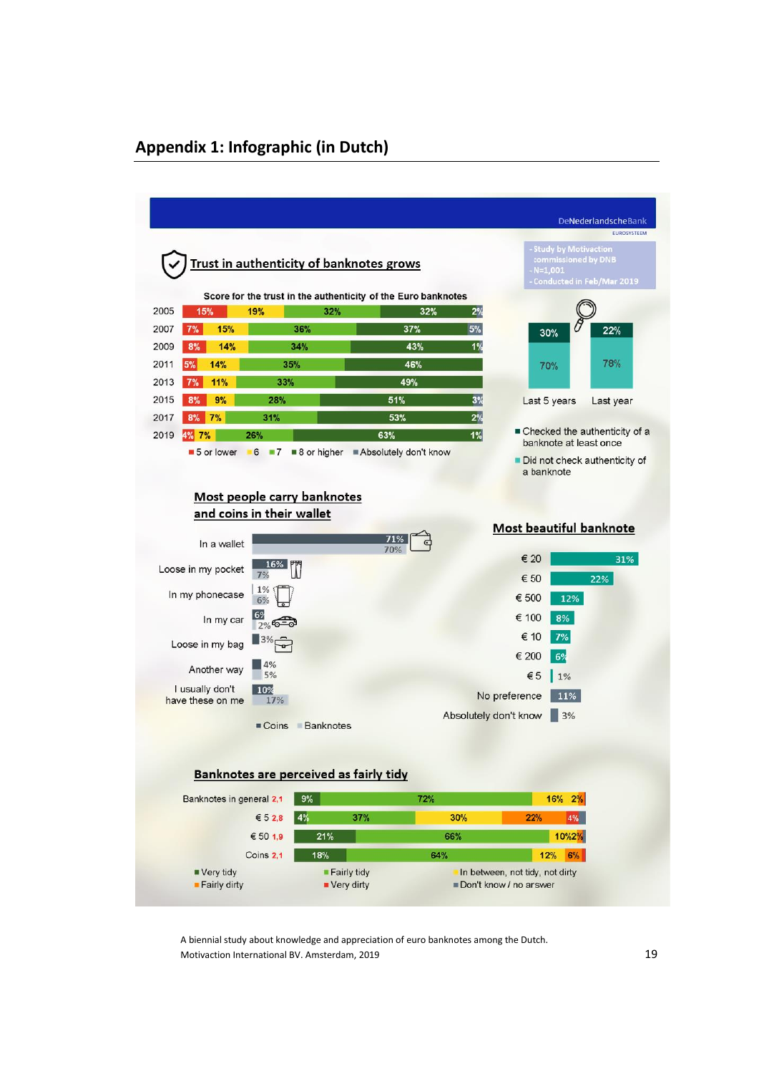## **Appendix 1: Infographic (in Dutch)**

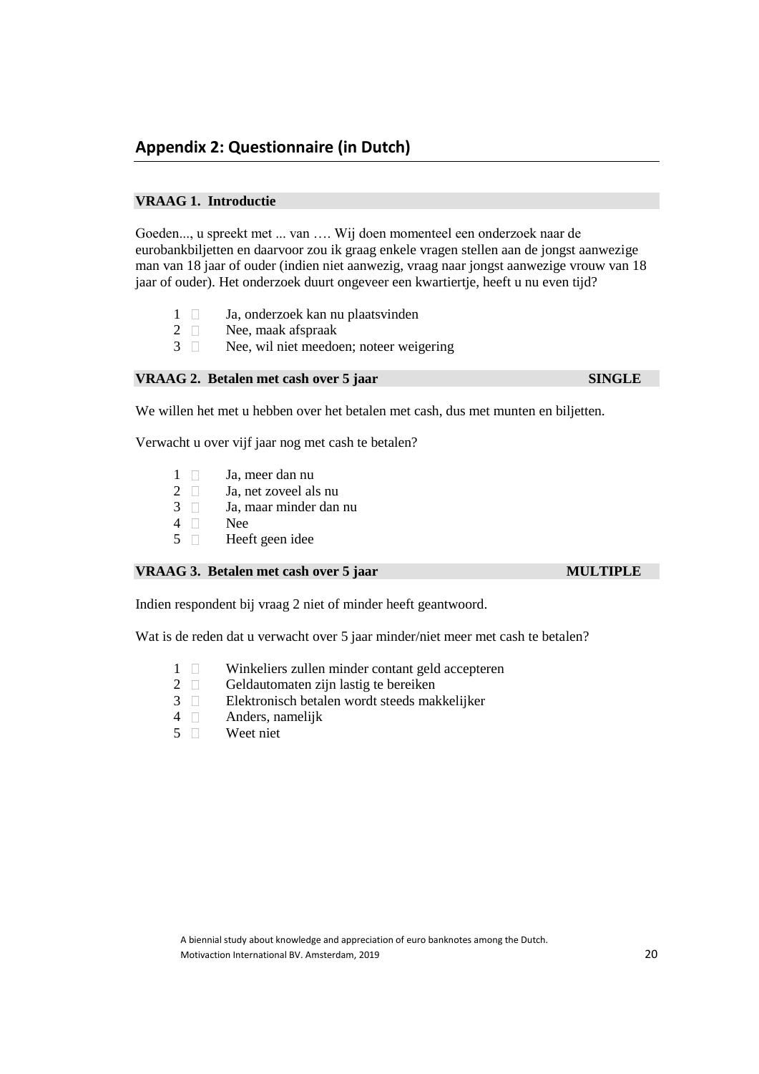## **VRAAG 1. Introductie**

Goeden..., u spreekt met ... van …. Wij doen momenteel een onderzoek naar de eurobankbiljetten en daarvoor zou ik graag enkele vragen stellen aan de jongst aanwezige man van 18 jaar of ouder (indien niet aanwezig, vraag naar jongst aanwezige vrouw van 18 jaar of ouder). Het onderzoek duurt ongeveer een kwartiertje, heeft u nu even tijd?

- 1 **Ja**, onderzoek kan nu plaatsvinden
- 2 Nee, maak afspraak
- 3 Nee, wil niet meedoen; noteer weigering

## **VRAAG 2. Betalen met cash over 5 jaar SINGLE**

We willen het met u hebben over het betalen met cash, dus met munten en biljetten.

Verwacht u over vijf jaar nog met cash te betalen?

- 1 Ja, meer dan nu
- $2 \Box$  Ja, net zoveel als nu
- 3 Ja, maar minder dan nu
- 4 Nee
- 5 Heeft geen idee

## **VRAAG 3. Betalen met cash over 5 jaar MULTIPLE**

Indien respondent bij vraag 2 niet of minder heeft geantwoord.

Wat is de reden dat u verwacht over 5 jaar minder/niet meer met cash te betalen?

- 1 Winkeliers zullen minder contant geld accepteren
- 2 Geldautomaten zijn lastig te bereiken
- 3 Elektronisch betalen wordt steeds makkelijker
- 4 Anders, namelijk
- 5 Weet niet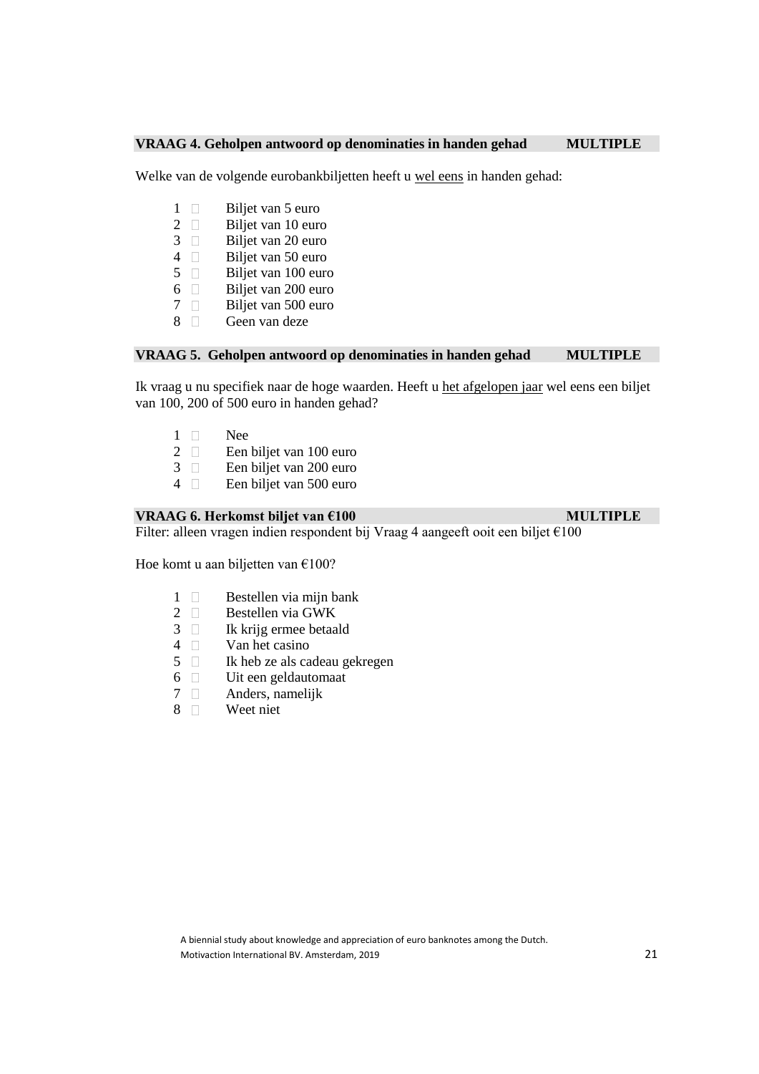## **VRAAG 4. Geholpen antwoord op denominaties in handen gehad MULTIPLE**

Welke van de volgende eurobankbiljetten heeft u wel eens in handen gehad:

- 1 **Biljet van 5 euro**
- 2  $\Box$  Biljet van 10 euro<br>3  $\Box$  Biljet van 20 euro
- 3 Biljet van 20 euro
- 4 Biljet van 50 euro<br>5 Biljet van 100 euro
- 5 Biljet van 100 euro
- 6 Biljet van 200 euro<br>7 Biljet van 500 euro
- 7 □ Biljet van 500 euro<br>8 □ Geen van deze
- Geen van deze

## **VRAAG 5. Geholpen antwoord op denominaties in handen gehad MULTIPLE**

Ik vraag u nu specifiek naar de hoge waarden. Heeft u het afgelopen jaar wel eens een biljet van 100, 200 of 500 euro in handen gehad?

- 1 Nee
- 2 **E**en biljet van 100 euro
- 3 Een biljet van 200 euro
- 4 Een biljet van 500 euro

## **VRAAG 6. Herkomst biljet van €100** MULTIPLE

Filter: alleen vragen indien respondent bij Vraag 4 aangeeft ooit een biljet  $\epsilon$ 100

Hoe komt u aan biljetten van €100?

- 1 Bestellen via mijn bank
- 2  $\Box$  Bestellen via GWK<br>3  $\Box$  Ik krijg ermee betaa
- Ik krijg ermee betaald
- 4 Van het casino
- 5 Ik heb ze als cadeau gekregen
- 6  $\Box$  Uit een geldautomaat<br>7  $\Box$  Anders, namelijk
- 7 Anders, namelijk
- 8 Weet niet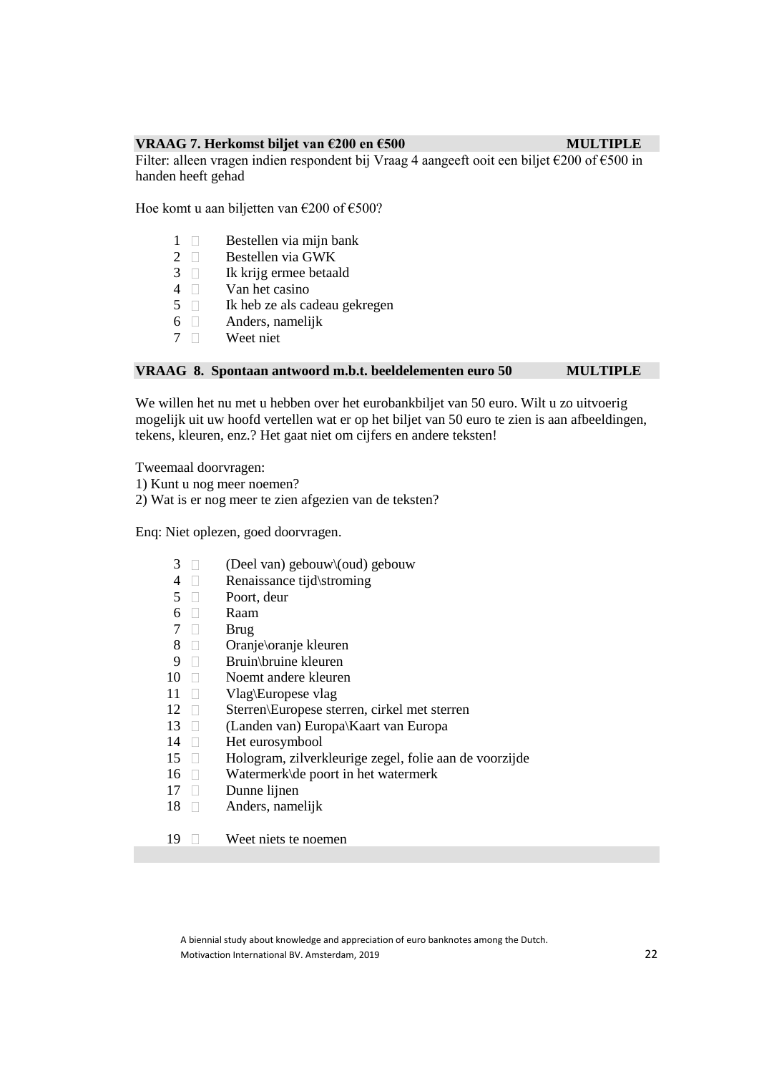## **VRAAG 7. Herkomst biljet van €200 en €500 MULTIPLE**

Filter: alleen vragen indien respondent bij Vraag 4 aangeeft ooit een biljet €200 of €500 in handen heeft gehad

Hoe komt u aan biljetten van €200 of €500?

- 1 Bestellen via mijn bank
- 2  $\Box$  Bestellen via GWK<br>3  $\Box$  Ik krijg ermee betaa
- Ik krijg ermee betaald
- $4 \square$  Van het casino<br>5  $\square$  Ik heb ze als ca
- Ik heb ze als cadeau gekregen
- $6 \Box$  Anders, namelijk
- 7 Weet niet

## **VRAAG 8. Spontaan antwoord m.b.t. beeldelementen euro 50 MULTIPLE**

We willen het nu met u hebben over het eurobankbiljet van 50 euro. Wilt u zo uitvoerig mogelijk uit uw hoofd vertellen wat er op het biljet van 50 euro te zien is aan afbeeldingen, tekens, kleuren, enz.? Het gaat niet om cijfers en andere teksten!

Tweemaal doorvragen:

- 1) Kunt u nog meer noemen?
- 2) Wat is er nog meer te zien afgezien van de teksten?

Enq: Niet oplezen, goed doorvragen.

- 3 **D** (Deel van) gebouw\(oud) gebouw
- 4 Renaissance tijd\stroming
- 5 Poort, deur
- 6 Raam
- 7 Brug
- 8 Oranje\oranje kleuren
- 9 Bruin\bruine kleuren
- 10 Noemt andere kleuren
- 11 Vlag\Europese vlag
- 12 Sterren\Europese sterren, cirkel met sterren
- 13 (Landen van) Europa\Kaart van Europa
- 14 Het eurosymbool
- 15 Hologram, zilverkleurige zegel, folie aan de voorzijde
- 16 Watermerk\de poort in het watermerk
- 17 Dunne lijnen
- 18 **Anders**, namelijk
- 19 Weet niets te noemen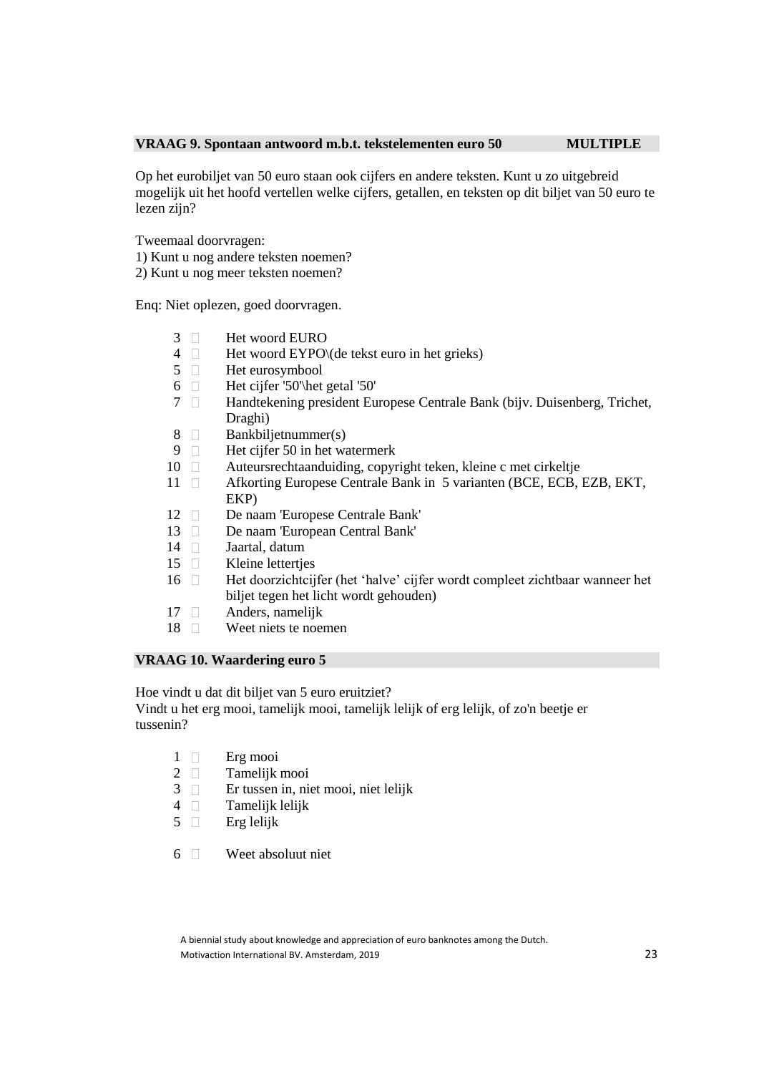## **VRAAG 9. Spontaan antwoord m.b.t. tekstelementen euro 50 MULTIPLE**

Op het eurobiljet van 50 euro staan ook cijfers en andere teksten. Kunt u zo uitgebreid mogelijk uit het hoofd vertellen welke cijfers, getallen, en teksten op dit biljet van 50 euro te lezen zijn?

Tweemaal doorvragen:

- 1) Kunt u nog andere teksten noemen?
- 2) Kunt u nog meer teksten noemen?

Enq: Niet oplezen, goed doorvragen.

- 3 Het woord EURO
- 4  $\Box$  Het woord EYPO $\setminus$  (de tekst euro in het grieks)
- 5 Het eurosymbool
- 6 Het cijfer '50'\het getal '50'
- 7 Handtekening president Europese Centrale Bank (bijv. Duisenberg, Trichet, Draghi)
- 8 Bankbiljetnummer(s)
- 9 Het cijfer 50 in het watermerk
- 10 Auteursrechtaanduiding, copyright teken, kleine c met cirkeltje
- 11  $\Box$  Afkorting Europese Centrale Bank in 5 varianten (BCE, ECB, EZB, EKT, EKP)
- 12 De naam 'Europese Centrale Bank'
- 13 De naam 'European Central Bank'
- 14 **Jaartal**, datum
- 15 **Kleine lettertjes**
- 16 Het doorzichtcijfer (het 'halve' cijfer wordt compleet zichtbaar wanneer het biljet tegen het licht wordt gehouden)
- 17 Anders, namelijk
- 18 Weet niets te noemen

## **VRAAG 10. Waardering euro 5**

Hoe vindt u dat dit biljet van 5 euro eruitziet?

Vindt u het erg mooi, tamelijk mooi, tamelijk lelijk of erg lelijk, of zo'n beetje er tussenin?

- 1 Erg mooi
- 2 Tamelijk mooi
- 3 Er tussen in, niet mooi, niet lelijk
- $4 \Box$  Tamelijk lelijk
- $5 \Box$  Erg lelijk

6 Weet absoluut niet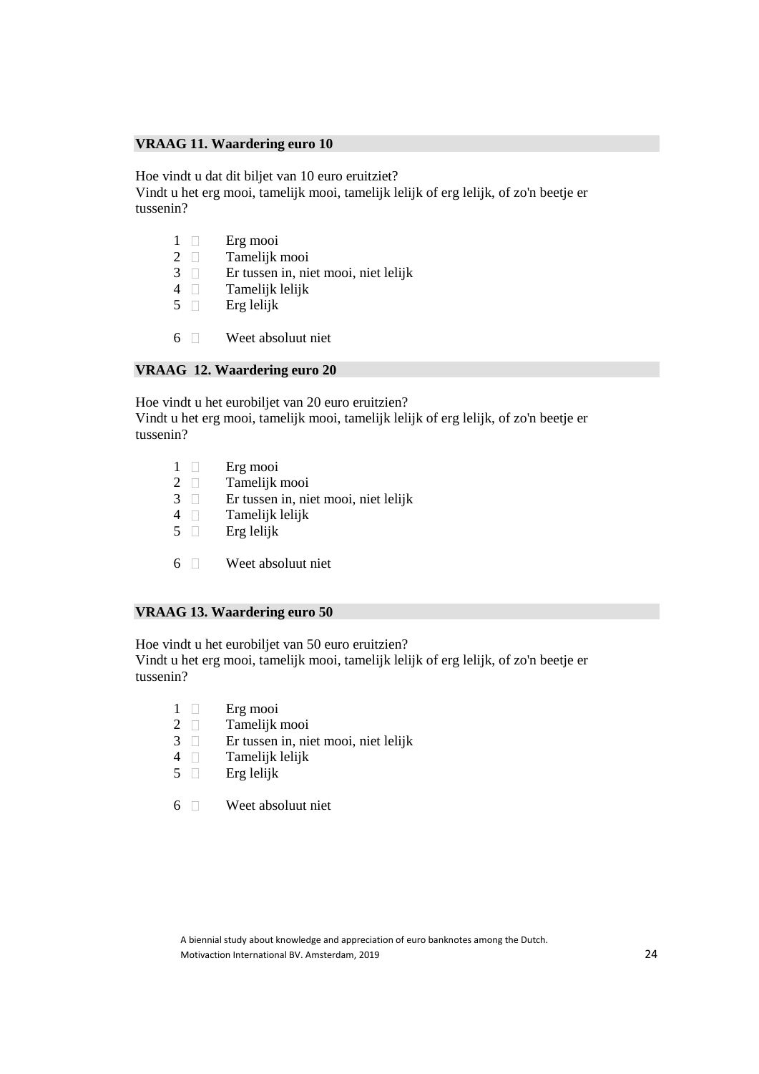## **VRAAG 11. Waardering euro 10**

Hoe vindt u dat dit biljet van 10 euro eruitziet?

Vindt u het erg mooi, tamelijk mooi, tamelijk lelijk of erg lelijk, of zo'n beetje er tussenin?

- 1 **Erg** mooi
- 2  $\Box$  Tamelijk mooi 3  $\Box$  Er tussen in, nie
- 3 Er tussen in, niet mooi, niet lelijk
- 4  $\Box$  Tamelijk lelijk<br>5  $\Box$  Erg lelijk
- 5 Erg lelijk
- 6 Weet absoluut niet

## **VRAAG 12. Waardering euro 20**

Hoe vindt u het eurobiljet van 20 euro eruitzien? Vindt u het erg mooi, tamelijk mooi, tamelijk lelijk of erg lelijk, of zo'n beetje er tussenin?

- 1 **Erg** mooi
- 2 Tamelijk mooi
- 3 Er tussen in, niet mooi, niet lelijk
- $4 \Box$  Tamelijk lelijk
- $5 \Box$  Erg lelijk
- 6 Weet absoluut niet

## **VRAAG 13. Waardering euro 50**

Hoe vindt u het eurobiljet van 50 euro eruitzien? Vindt u het erg mooi, tamelijk mooi, tamelijk lelijk of erg lelijk, of zo'n beetje er tussenin?

- 1 Erg mooi
- 2 Tamelijk mooi
- 3 Er tussen in, niet mooi, niet lelijk
- 4 Tamelijk lelijk
- $5 \Box$  Erg lelijk
- 6 Weet absoluut niet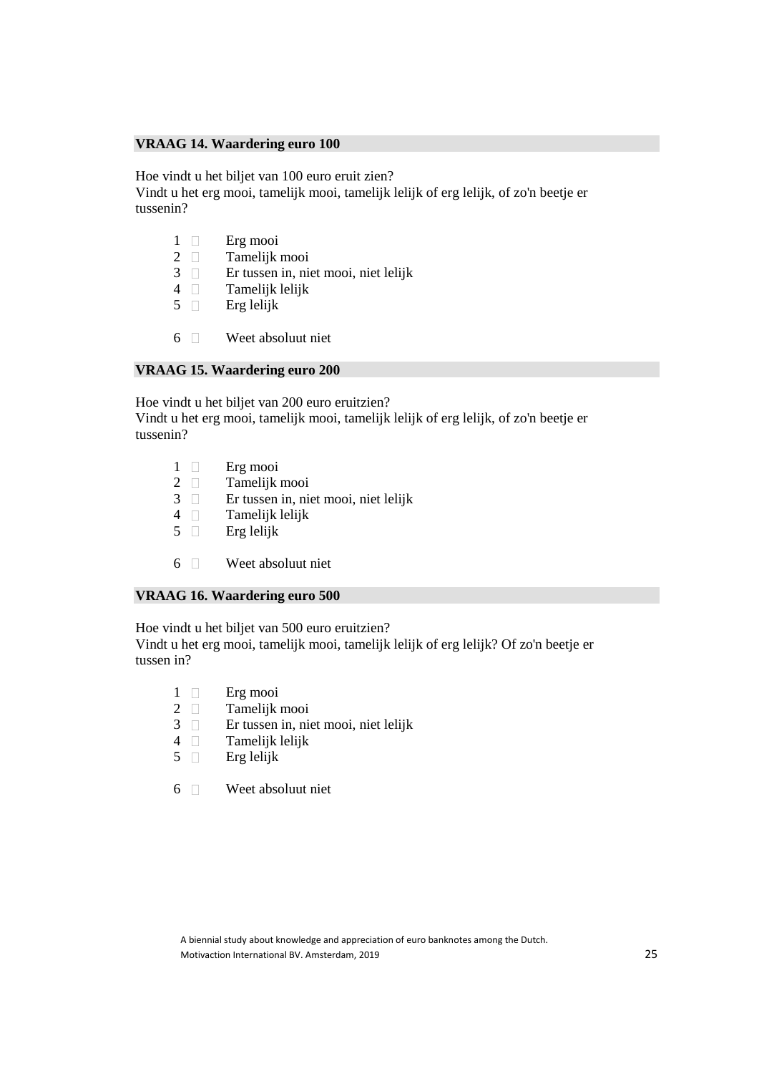## **VRAAG 14. Waardering euro 100**

Hoe vindt u het biljet van 100 euro eruit zien?

Vindt u het erg mooi, tamelijk mooi, tamelijk lelijk of erg lelijk, of zo'n beetje er tussenin?

- 1 **Erg** mooi
- 2  $\Box$  Tamelijk mooi 3  $\Box$  Er tussen in, nie
- 3 Er tussen in, niet mooi, niet lelijk
- 4  $\Box$  Tamelijk lelijk<br>5  $\Box$  Erg lelijk
- 5 Erg lelijk
- 6 Weet absoluut niet

## **VRAAG 15. Waardering euro 200**

Hoe vindt u het biljet van 200 euro eruitzien? Vindt u het erg mooi, tamelijk mooi, tamelijk lelijk of erg lelijk, of zo'n beetje er tussenin?

- 1 **Erg** mooi
- 2 Tamelijk mooi
- 3 Er tussen in, niet mooi, niet lelijk
- $4 \Box$  Tamelijk lelijk
- $5 \Box$  Erg lelijk
- 6 Weet absoluut niet

## **VRAAG 16. Waardering euro 500**

Hoe vindt u het biljet van 500 euro eruitzien? Vindt u het erg mooi, tamelijk mooi, tamelijk lelijk of erg lelijk? Of zo'n beetje er tussen in?

- 1 **Erg** mooi
- 
- 2  $\Box$  Tamelijk mooi<br>3  $\Box$  Er tussen in, ni 3 Er tussen in, niet mooi, niet lelijk
- 4 Tamelijk lelijk
- $5 \Box$  Erg lelijk
- 6 Weet absoluut niet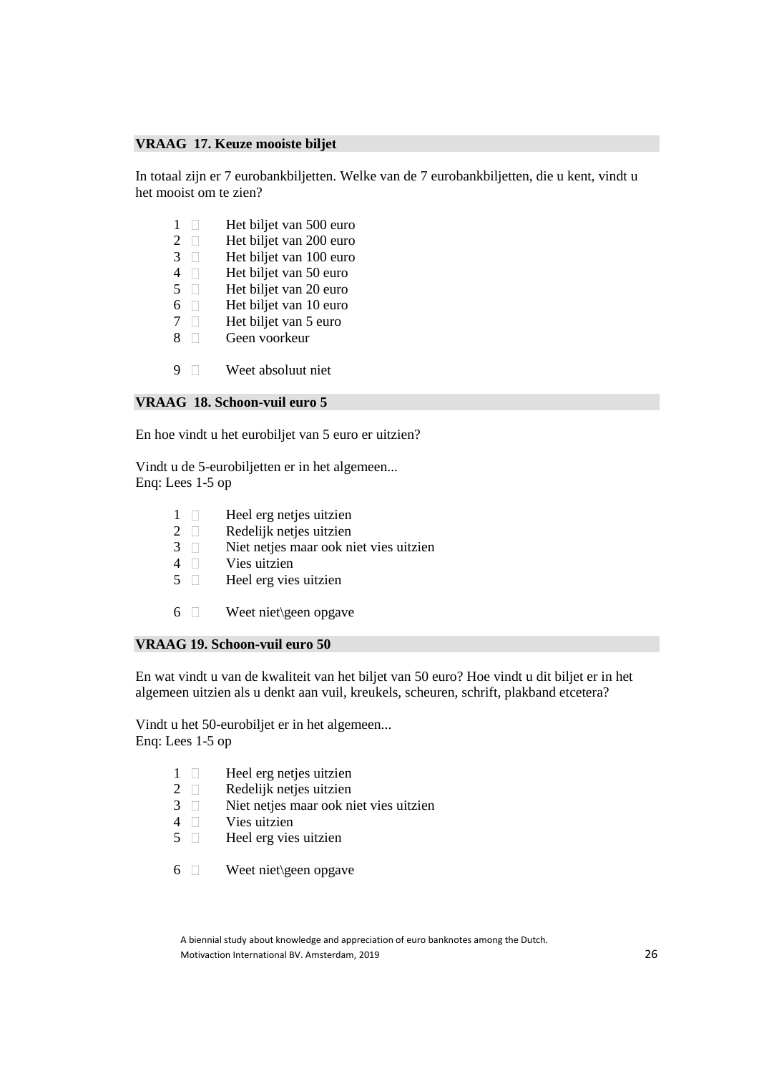## **VRAAG 17. Keuze mooiste biljet**

In totaal zijn er 7 eurobankbiljetten. Welke van de 7 eurobankbiljetten, die u kent, vindt u het mooist om te zien?

- 1 Het biljet van 500 euro
- 2 Het biljet van 200 euro
- $3 \Box$  Het biljet van 100 euro<br>4  $\Box$  Het biljet van 50 euro
- 4  $\Box$  Het biljet van 50 euro<br>5  $\Box$  Het biljet van 20 euro
- $5 \Box$  Het biljet van 20 euro<br>6 Het biliet van 10 euro
- 6  $\Box$  Het biljet van 10 euro<br>7 Het biliet van 5 euro
- Het biljet van 5 euro
- 8 Geen voorkeur
- 9 Weet absoluut niet

## **VRAAG 18. Schoon-vuil euro 5**

En hoe vindt u het eurobiljet van 5 euro er uitzien?

Vindt u de 5-eurobiljetten er in het algemeen... Enq: Lees 1-5 op

- 1 **Heel erg netjes uitzien**
- 2 Redelijk netjes uitzien
- 3 Niet netjes maar ook niet vies uitzien
- 4 Vies uitzien
- 5 Heel erg vies uitzien
- 6 Weet niet\geen opgave

## **VRAAG 19. Schoon-vuil euro 50**

En wat vindt u van de kwaliteit van het biljet van 50 euro? Hoe vindt u dit biljet er in het algemeen uitzien als u denkt aan vuil, kreukels, scheuren, schrift, plakband etcetera?

Vindt u het 50-eurobiljet er in het algemeen... Enq: Lees 1-5 op

- 1 **Heel erg netjes uitzien**
- 2 Redelijk netjes uitzien
- 3 Niet netjes maar ook niet vies uitzien
- 4 **Vies** uitzien
- 5 Heel erg vies uitzien
- 6 Weet niet\geen opgave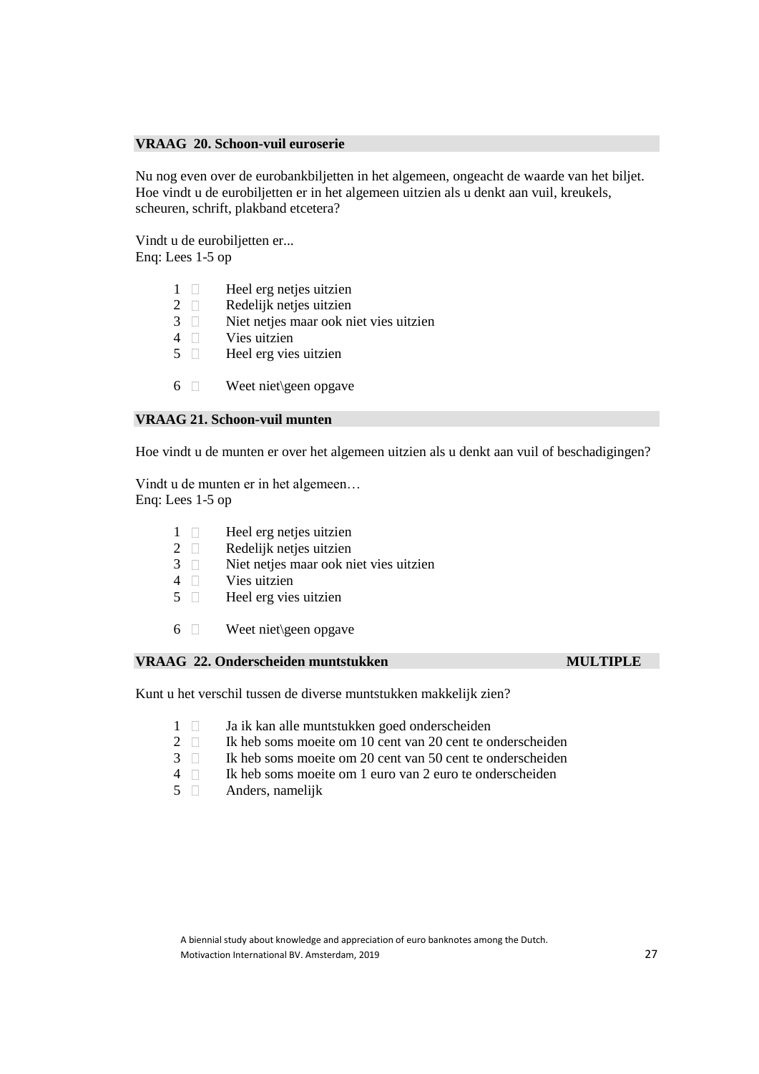## **VRAAG 20. Schoon-vuil euroserie**

Nu nog even over de eurobankbiljetten in het algemeen, ongeacht de waarde van het biljet. Hoe vindt u de eurobiljetten er in het algemeen uitzien als u denkt aan vuil, kreukels, scheuren, schrift, plakband etcetera?

Vindt u de eurobiljetten er... Enq: Lees 1-5 op

- 1  $\Box$  Heel erg netjes uitzien<br>2  $\Box$  Redeliik neties uitzien
- 2  $\Box$  Redelijk netjes uitzien<br>3  $\Box$  Niet neties maar ook n
- 3 Niet netjes maar ook niet vies uitzien
- 4 Vies uitzien
- $5 \Box$  Heel erg vies uitzien
- $6 \Box$  Weet niet\geen opgave

#### **VRAAG 21. Schoon-vuil munten**

Hoe vindt u de munten er over het algemeen uitzien als u denkt aan vuil of beschadigingen?

Vindt u de munten er in het algemeen… Enq: Lees 1-5 op

- $1 \Box$  Heel erg netjes uitzien
- 2 **Redelijk netjes uitzien**
- 3 Niet netjes maar ook niet vies uitzien
- $4 \Box$  Vies uitzien
- 5 Heel erg vies uitzien
- 6 Weet niet\geen opgave

## **VRAAG 22. Onderscheiden muntstukken MULTIPLE MULTIPLE**

Kunt u het verschil tussen de diverse muntstukken makkelijk zien?

- 1 **Januaristukken** goed onderscheiden
- 2 | Ik heb soms moeite om 10 cent van 20 cent te onderscheiden
- 3 Ik heb soms moeite om 20 cent van 50 cent te onderscheiden
- 4 Ik heb soms moeite om 1 euro van 2 euro te onderscheiden
- 5 Anders, namelijk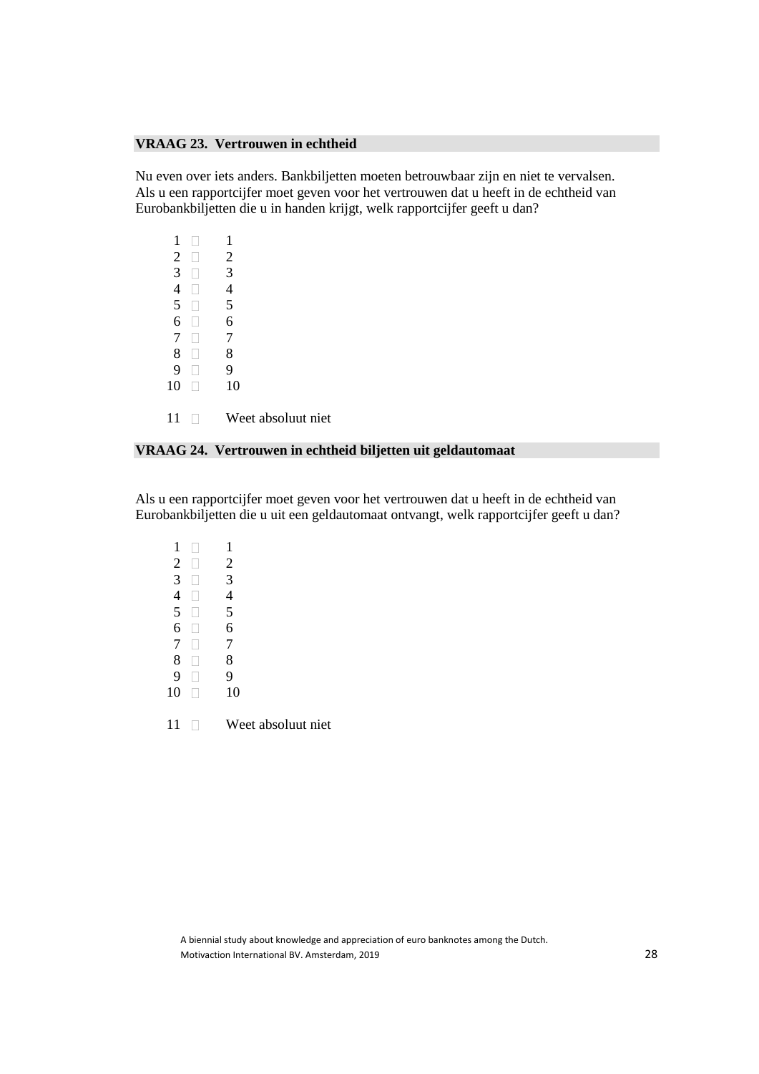## **VRAAG 23. Vertrouwen in echtheid**

Nu even over iets anders. Bankbiljetten moeten betrouwbaar zijn en niet te vervalsen. Als u een rapportcijfer moet geven voor het vertrouwen dat u heeft in de echtheid van Eurobankbiljetten die u in handen krijgt, welk rapportcijfer geeft u dan?

| 1              | 1                  |
|----------------|--------------------|
| $\overline{2}$ | $\overline{2}$     |
| 3              | 3                  |
| 4              | 4                  |
| 5              | 5                  |
| 6              | 6                  |
| 7              | 7                  |
| 8              | 8                  |
| 9              | 9                  |
| 10             | 10                 |
|                |                    |
| 11             | Weet absoluut niet |

## **VRAAG 24. Vertrouwen in echtheid biljetten uit geldautomaat**

Als u een rapportcijfer moet geven voor het vertrouwen dat u heeft in de echtheid van Eurobankbiljetten die u uit een geldautomaat ontvangt, welk rapportcijfer geeft u dan?

| 1              | 1              |
|----------------|----------------|
| $\overline{c}$ | $\overline{c}$ |
| 3              | 3              |
| 4              | 4              |
| 5              | 5              |
| 6              | 6              |
| $\overline{7}$ | 7              |
| 8              | 8              |
| 9              | 9              |
| 10             | 10             |
|                |                |

11 Weet absoluut niet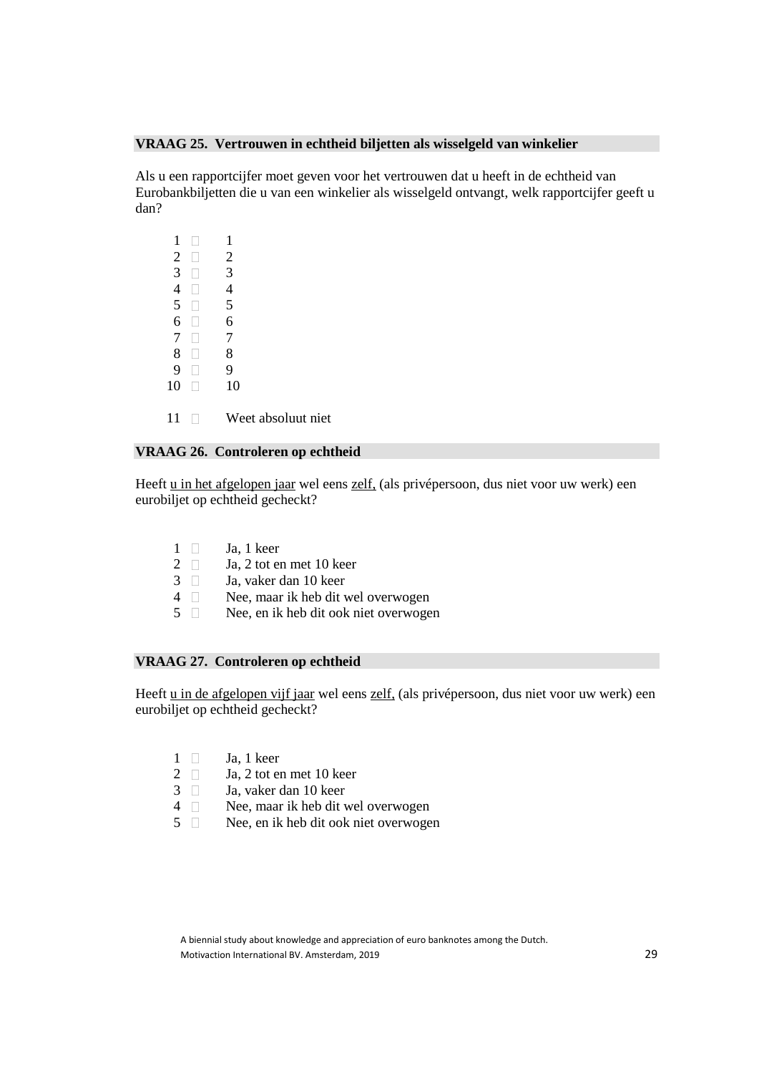## **VRAAG 25. Vertrouwen in echtheid biljetten als wisselgeld van winkelier**

Als u een rapportcijfer moet geven voor het vertrouwen dat u heeft in de echtheid van Eurobankbiljetten die u van een winkelier als wisselgeld ontvangt, welk rapportcijfer geeft u dan?

|                | 1              |  |
|----------------|----------------|--|
| $\overline{2}$ | $\overline{c}$ |  |
| 3              | 3              |  |
| 4              | 4              |  |
| 5              | 5              |  |
| 6              | 6              |  |
| 7              | 7              |  |
| 8              | 8              |  |
| 9              | 9              |  |
| 10             | 10             |  |
|                |                |  |

11 Weet absoluut niet

## **VRAAG 26. Controleren op echtheid**

Heeft u in het afgelopen jaar wel eens zelf, (als privépersoon, dus niet voor uw werk) een eurobiljet op echtheid gecheckt?

- $1 \Box$  Ja, 1 keer
- 2  $\Box$  Ja, 2 tot en met 10 keer
- $3 \Box$  Ja, vaker dan 10 keer
- 4 Nee, maar ik heb dit wel overwogen
- 5 Nee, en ik heb dit ook niet overwogen

## **VRAAG 27. Controleren op echtheid**

Heeft u in de afgelopen vijf jaar wel eens zelf, (als privépersoon, dus niet voor uw werk) een eurobiljet op echtheid gecheckt?

- $1 \Box$  Ja, 1 keer
- 2  $\Box$  Ja, 2 tot en met 10 keer
- 3 Ja, vaker dan 10 keer
- 4 Nee, maar ik heb dit wel overwogen
- 5 Nee, en ik heb dit ook niet overwogen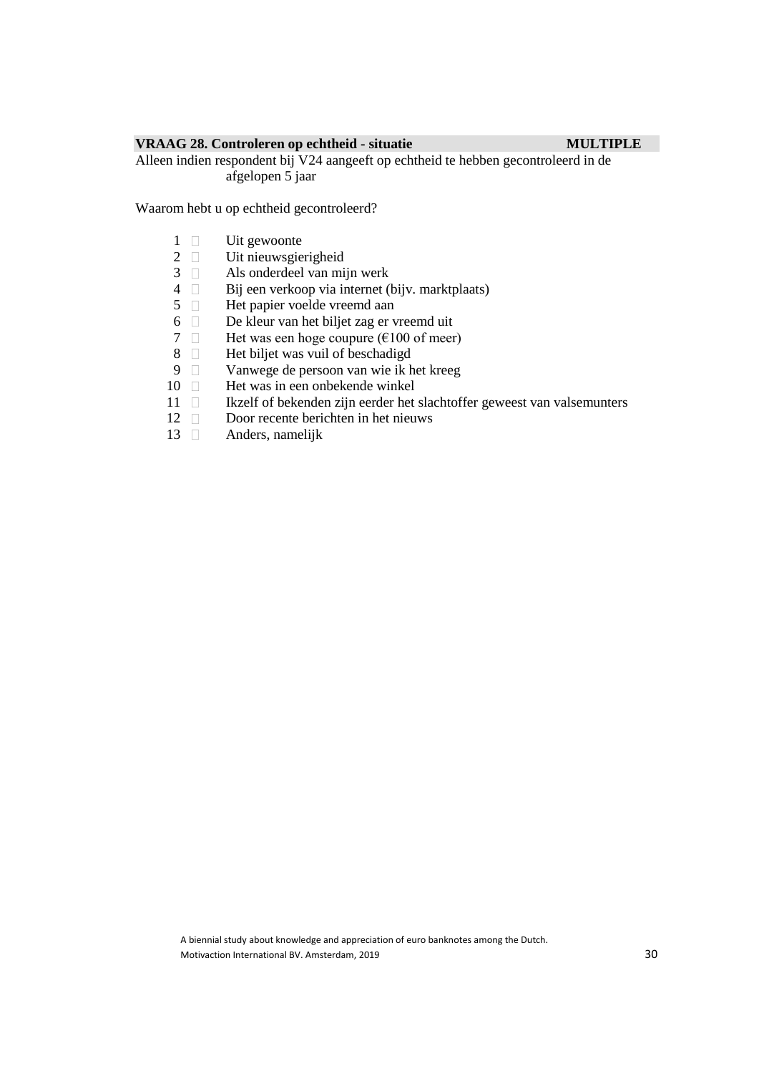## **VRAAG 28. Controleren op echtheid - situatie MULTIPLE**

Alleen indien respondent bij V24 aangeeft op echtheid te hebben gecontroleerd in de afgelopen 5 jaar

Waarom hebt u op echtheid gecontroleerd?

- $\begin{array}{cc} 1 & \Box & \text{Uit gewoonte} \\ 2 & \Box & \text{Uit nieuwe} \end{array}$
- 2  $\Box$  Uit nieuwsgierigheid<br>3  $\Box$  Als onderdeel van mi
- 3  $\Box$  Als onderdeel van mijn werk<br>4  $\Box$  Bij een verkoop via internet (
- 4 Bij een verkoop via internet (bijv. marktplaats)<br>5 Het papier voelde vreemd aan
- 5  $\Box$  Het papier voelde vreemd aan 6  $\Box$  De kleur van het biljet zag er v
- 6 De kleur van het biljet zag er vreemd uit
- 7  $\Box$  Het was een hoge coupure ( $\epsilon$ 100 of meer)
- 8  $\Box$  Het biljet was vuil of beschadigd<br>9  $\Box$  Vanwege de persoon van wie ik l
- 9 Vanwege de persoon van wie ik het kreeg<br>10 D Het was in een onbekende winkel
- Het was in een onbekende winkel
- 11  $\Box$  Ikzelf of bekenden zijn eerder het slachtoffer geweest van valsemunters
- 12 Door recente berichten in het nieuws
- 13 Anders, namelijk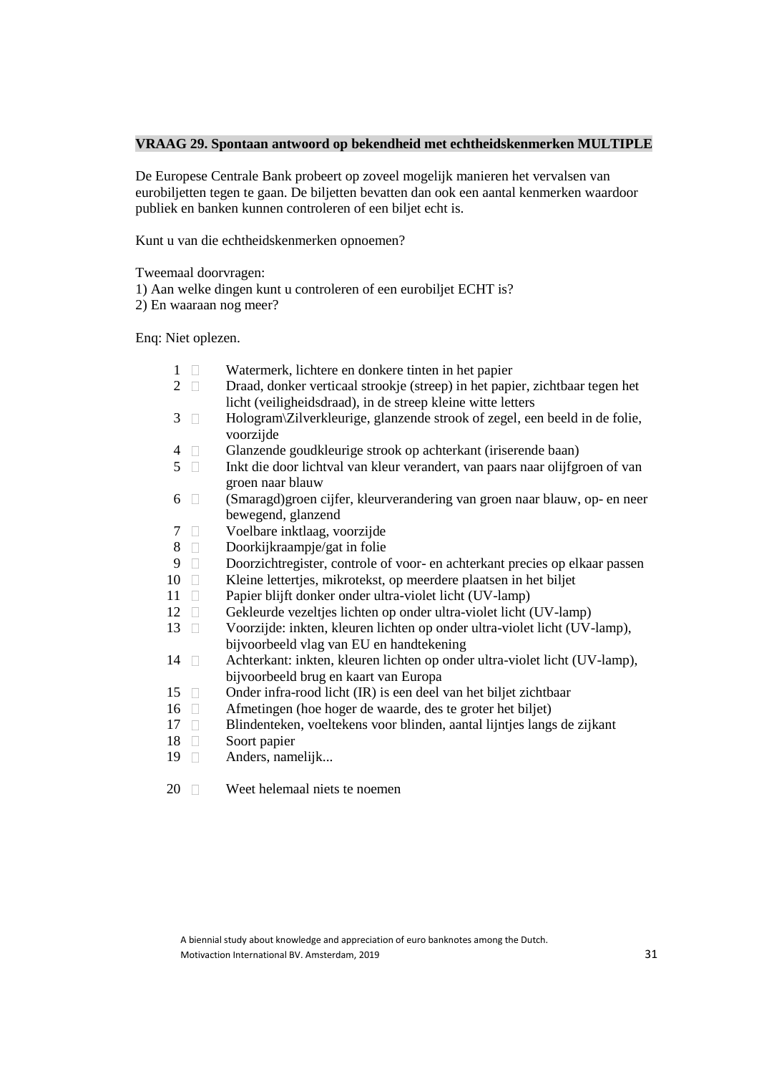## **VRAAG 29. Spontaan antwoord op bekendheid met echtheidskenmerken MULTIPLE**

De Europese Centrale Bank probeert op zoveel mogelijk manieren het vervalsen van eurobiljetten tegen te gaan. De biljetten bevatten dan ook een aantal kenmerken waardoor publiek en banken kunnen controleren of een biljet echt is.

Kunt u van die echtheidskenmerken opnoemen?

Tweemaal doorvragen:

1) Aan welke dingen kunt u controleren of een eurobiljet ECHT is?

2) En waaraan nog meer?

Enq: Niet oplezen.

- 1  $\Box$  Watermerk, lichtere en donkere tinten in het papier<br>2  $\Box$  Draad, donker verticaal strookie (streep) in het papi
- 2 Draad, donker verticaal strookje (streep) in het papier, zichtbaar tegen het licht (veiligheidsdraad), in de streep kleine witte letters
- $3 \Box$  Hologram\Zilverkleurige, glanzende strook of zegel, een beeld in de folie, voorzijde
- 4 Glanzende goudkleurige strook op achterkant (iriserende baan)
- 5 Inkt die door lichtval van kleur verandert, van paars naar olijfgroen of van groen naar blauw
- 6 (Smaragd)groen cijfer, kleurverandering van groen naar blauw, op- en neer bewegend, glanzend
- 7 Voelbare inktlaag, voorzijde
- 8 Doorkijkraampje/gat in folie
- 9 Doorzichtregister, controle of voor- en achterkant precies op elkaar passen<br>10 D Kleine letterties, mikrotekst, op meerdere plaatsen in het biljet
- Kleine lettertjes, mikrotekst, op meerdere plaatsen in het biljet
- 11 **Papier blijft donker onder ultra-violet licht (UV-lamp)**
- 12 Gekleurde vezeltjes lichten op onder ultra-violet licht (UV-lamp)
- 13 Voorzijde: inkten, kleuren lichten op onder ultra-violet licht (UV-lamp), bijvoorbeeld vlag van EU en handtekening
- 14 Achterkant: inkten, kleuren lichten op onder ultra-violet licht (UV-lamp), bijvoorbeeld brug en kaart van Europa
- 15 Onder infra-rood licht (IR) is een deel van het biljet zichtbaar
- 16 Afmetingen (hoe hoger de waarde, des te groter het biljet)
- 17 Blindenteken, voeltekens voor blinden, aantal lijntjes langs de zijkant
- 18 Soort papier
- 19 **Anders**, namelijk...

20 Weet helemaal niets te noemen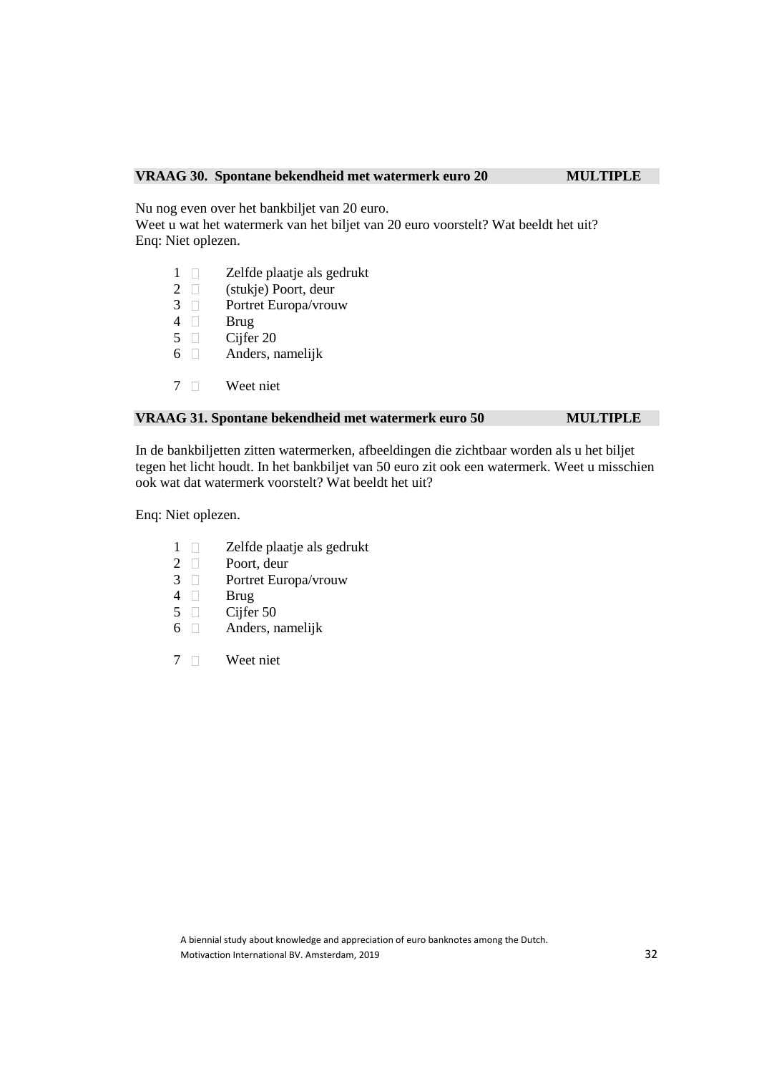## **VRAAG 30. Spontane bekendheid met watermerk euro 20 MULTIPLE**

Nu nog even over het bankbiljet van 20 euro.

Weet u wat het watermerk van het biljet van 20 euro voorstelt? Wat beeldt het uit? Enq: Niet oplezen.

- 1  $\Box$  Zelfde plaatje als gedrukt<br>2  $\Box$  (stukje) Poort, deur
- 2  $\Box$  (stukje) Poort, deur 3  $\Box$  Portret Europa/vrou
- 3 D Portret Europa/vrouw<br>4 D Brug
- **Brug**
- 5 Cijfer 20
- $6 \Box$  Anders, namelijk
- 7 Weet niet

## **VRAAG 31. Spontane bekendheid met watermerk euro 50 MULTIPLE**

In de bankbiljetten zitten watermerken, afbeeldingen die zichtbaar worden als u het biljet tegen het licht houdt. In het bankbiljet van 50 euro zit ook een watermerk. Weet u misschien ook wat dat watermerk voorstelt? Wat beeldt het uit?

Enq: Niet oplezen.

- 1 **D** Zelfde plaatje als gedrukt
- 2 D Poort, deur<br>3 D Portret Euro
- 3 Portret Europa/vrouw
- 4 Brug
- 5 Cijfer 50
- 6 Anders, namelijk
- 7 Weet niet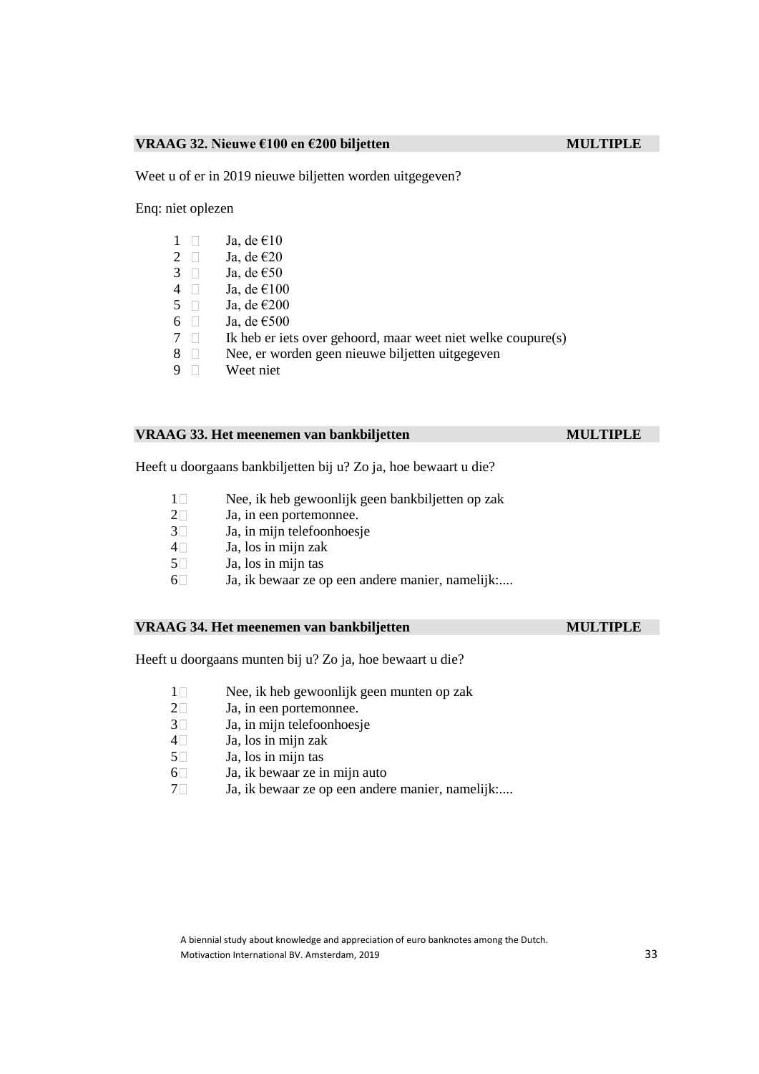### **VRAAG 32. Nieuwe €100 en €200 biljetten MULTIPLE**

Weet u of er in 2019 nieuwe biljetten worden uitgegeven?

Enq: niet oplezen

- $1 \quad \Box \quad$  Ja, de  $\epsilon$ 10
- 2  $\Box$  Ja, de  $\epsilon$ 20<br>3  $\Box$  Ja, de  $\epsilon$ 50
- 3  $\Box$  Ja, de  $\epsilon$ 50<br>4  $\Box$  Ja, de  $\epsilon$ 10
- 4 Ja, de  $\epsilon$ 100<br>5 Ja, de  $\epsilon$ 200
- 5 Ja, de  $\epsilon$ 200<br>6 Ja, de  $\epsilon$ 500
- Ja, de €500
- $7 \Box$  Ik heb er iets over gehoord, maar weet niet welke coupure(s)
- 8 Nee, er worden geen nieuwe biljetten uitgegeven<br>9 Neet niet
- Weet niet

## **VRAAG 33. Het meenemen van bankbiljetten MULTIPLE**

Heeft u doorgaans bankbiljetten bij u? Zo ja, hoe bewaart u die?

- 1 Nee, ik heb gewoonlijk geen bankbiljetten op zak<br>2  $\Box$  Ja. in een portemonnee.
- Ja, in een portemonnee.
- $3\Box$  Ja, in mijn telefoonhoesje
- $4 \Box$  Ja, los in mijn zak
- $5\Box$  Ja, los in mijn tas
- 6 Ja, ik bewaar ze op een andere manier, namelijk:....

## **VRAAG 34. Het meenemen van bankbiljetten MULTIPLE**

Heeft u doorgaans munten bij u? Zo ja, hoe bewaart u die?

- 1 Nee, ik heb gewoonlijk geen munten op zak<br>2 Ja, in een portemonnee.
- 2  $\Box$  Ja, in een portemonnee.<br>3 Ja, in mijn telefoonhoes
- Ja, in mijn telefoonhoesje
- $4\Box$  Ja, los in mijn zak
- $5\Box$  Ja, los in mijn tas
- $6\Box$  Ja, ik bewaar ze in mijn auto
- 7 Ja, ik bewaar ze op een andere manier, namelijk:....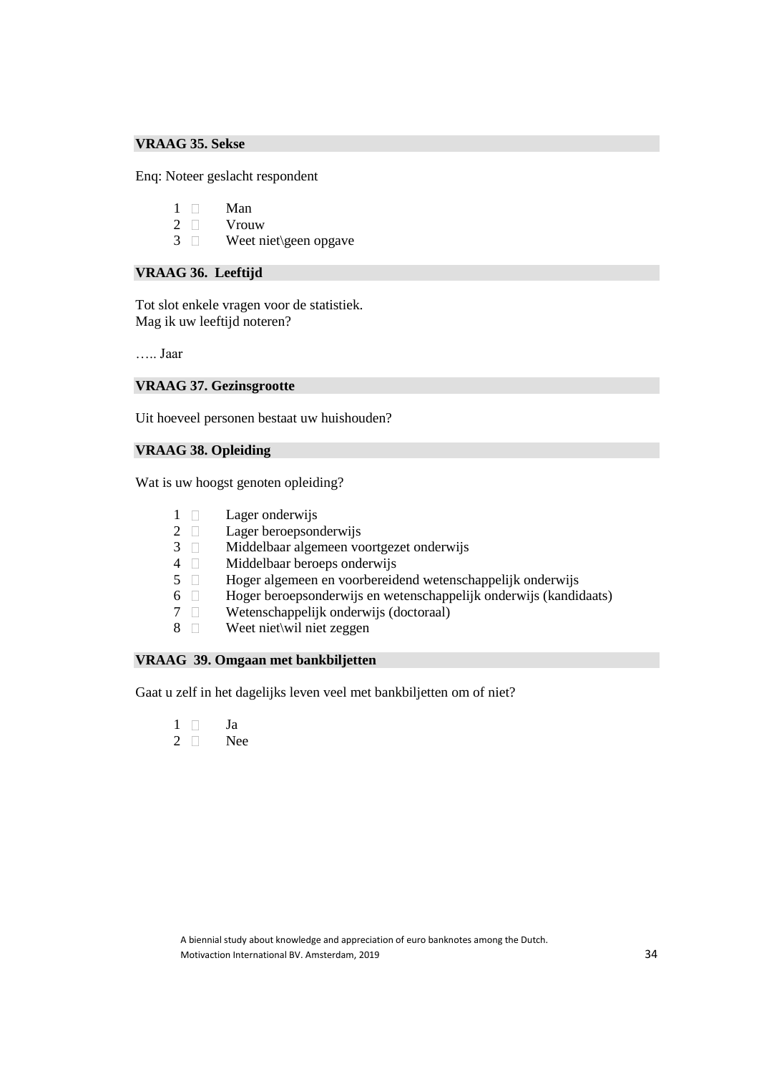## **VRAAG 35. Sekse**

Enq: Noteer geslacht respondent

- 1 Man
- 2 Vrouw
- 3 Weet niet\geen opgave

## **VRAAG 36. Leeftijd**

Tot slot enkele vragen voor de statistiek. Mag ik uw leeftijd noteren?

….. Jaar

## **VRAAG 37. Gezinsgrootte**

Uit hoeveel personen bestaat uw huishouden?

## **VRAAG 38. Opleiding**

Wat is uw hoogst genoten opleiding?

- 1 Lager onderwijs
- 2 Lager beroepsonderwijs
- 3 Middelbaar algemeen voortgezet onderwijs
- 4  $\Box$  Middelbaar beroeps onderwijs<br>5  $\Box$  Hoger algemeen en voorbereid
	- 5 Hoger algemeen en voorbereidend wetenschappelijk onderwijs
- 6 Hoger beroepsonderwijs en wetenschappelijk onderwijs (kandidaats)
- 7 Wetenschappelijk onderwijs (doctoraal)
- 8 Weet niet\wil niet zeggen

## **VRAAG 39. Omgaan met bankbiljetten**

Gaat u zelf in het dagelijks leven veel met bankbiljetten om of niet?

- $1 \Box$  Ja
- 2 Nee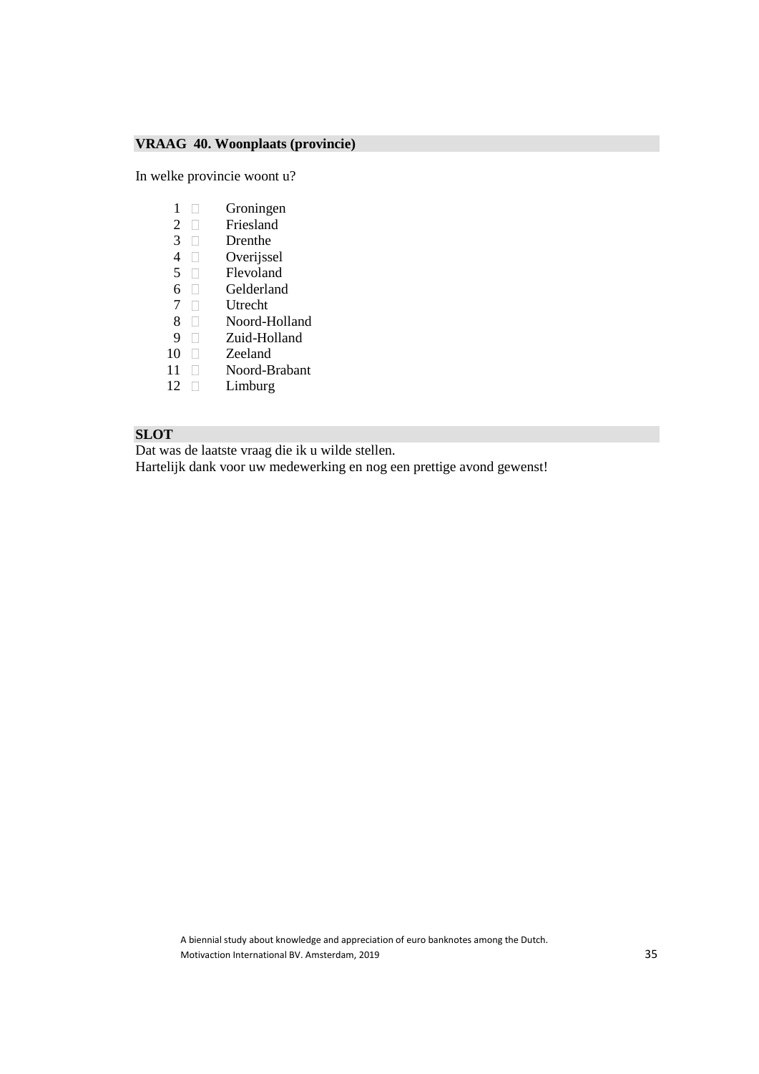## **VRAAG 40. Woonplaats (provincie)**

In welke provincie woont u?

- 1 Groningen<br>2 Greenland
- **Friesland**
- $3 \square$  Drenthe<br>4 D Overijsse
- 4 Overijssel<br>5 D Flevoland
- 5 Flevoland<br>6 Gelderland
- 6 Gelderland<br>7 Utrecht
- □ Utrecht<br>□ Noord-H
- 8 Noord-Holland
- 9 **Zuid-Holland**
- 10 Zeeland<br>11 Noord-B
- 11 Noord-Brabant<br>12 Limburg
- Limburg

## **SLOT**

Dat was de laatste vraag die ik u wilde stellen.

Hartelijk dank voor uw medewerking en nog een prettige avond gewenst!